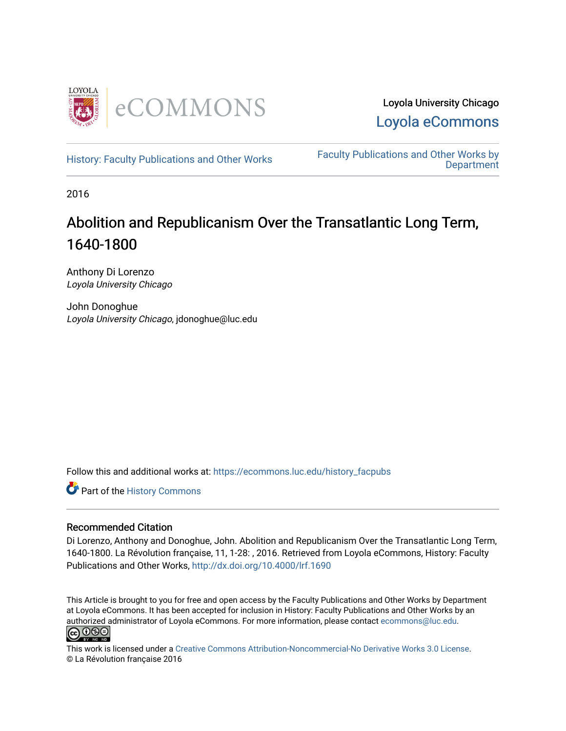

Loyola University Chicago [Loyola eCommons](https://ecommons.luc.edu/) 

[History: Faculty Publications and Other Works](https://ecommons.luc.edu/history_facpubs) Faculty Publications and Other Works by **Department** 

2016

# Abolition and Republicanism Over the Transatlantic Long Term, 1640-1800

Anthony Di Lorenzo Loyola University Chicago

John Donoghue Loyola University Chicago, jdonoghue@luc.edu

Follow this and additional works at: [https://ecommons.luc.edu/history\\_facpubs](https://ecommons.luc.edu/history_facpubs?utm_source=ecommons.luc.edu%2Fhistory_facpubs%2F55&utm_medium=PDF&utm_campaign=PDFCoverPages)

Part of the [History Commons](http://network.bepress.com/hgg/discipline/489?utm_source=ecommons.luc.edu%2Fhistory_facpubs%2F55&utm_medium=PDF&utm_campaign=PDFCoverPages) 

#### Recommended Citation

Di Lorenzo, Anthony and Donoghue, John. Abolition and Republicanism Over the Transatlantic Long Term, 1640-1800. La Révolution française, 11, 1-28: , 2016. Retrieved from Loyola eCommons, History: Faculty Publications and Other Works, <http://dx.doi.org/10.4000/lrf.1690>

This Article is brought to you for free and open access by the Faculty Publications and Other Works by Department at Loyola eCommons. It has been accepted for inclusion in History: Faculty Publications and Other Works by an authorized administrator of Loyola eCommons. For more information, please contact [ecommons@luc.edu](mailto:ecommons@luc.edu).



This work is licensed under a [Creative Commons Attribution-Noncommercial-No Derivative Works 3.0 License.](https://creativecommons.org/licenses/by-nc-nd/3.0/) © La Révolution française 2016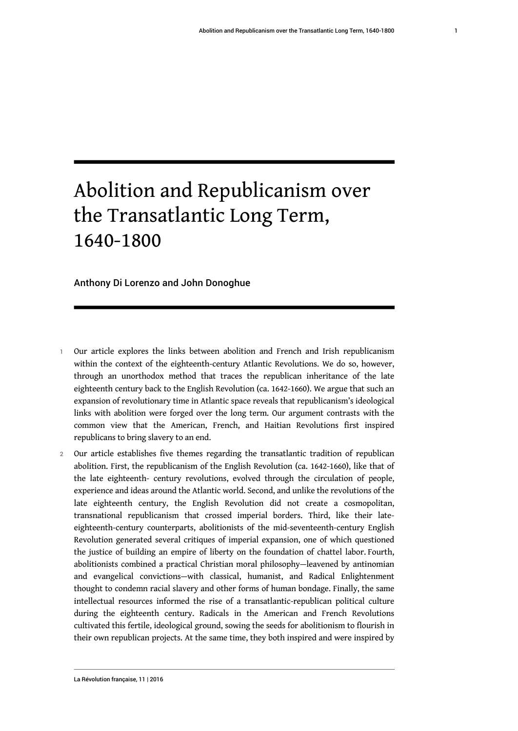# Abolition and Republicanism over the Transatlantic Long Term, 1640-1800

#### Anthony Di Lorenzo and John Donoghue

- Our article explores the links between abolition and French and Irish republicanism within the context of the eighteenth-century Atlantic Revolutions. We do so, however, through an unorthodox method that traces the republican inheritance of the late eighteenth century back to the English Revolution (ca. 1642-1660). We argue that such an expansion of revolutionary time in Atlantic space reveals that republicanism's ideological links with abolition were forged over the long term. Our argument contrasts with the common view that the American, French, and Haitian Revolutions first inspired republicans to bring slavery to an end.
- 2 Our article establishes five themes regarding the transatlantic tradition of republican abolition. First, the republicanism of the English Revolution (ca. 1642-1660), like that of the late eighteenth- century revolutions, evolved through the circulation of people, experience and ideas around the Atlantic world. Second, and unlike the revolutions of the late eighteenth century, the English Revolution did not create a cosmopolitan, transnational republicanism that crossed imperial borders. Third, like their lateeighteenth-century counterparts, abolitionists of the mid-seventeenth-century English Revolution generated several critiques of imperial expansion, one of which questioned the justice of building an empire of liberty on the foundation of chattel labor. Fourth, abolitionists combined a practical Christian moral philosophy—leavened by antinomian and evangelical convictions—with classical, humanist, and Radical Enlightenment thought to condemn racial slavery and other forms of human bondage. Finally, the same intellectual resources informed the rise of a transatlantic-republican political culture during the eighteenth century. Radicals in the American and French Revolutions cultivated this fertile, ideological ground, sowing the seeds for abolitionism to flourish in their own republican projects. At the same time, they both inspired and were inspired by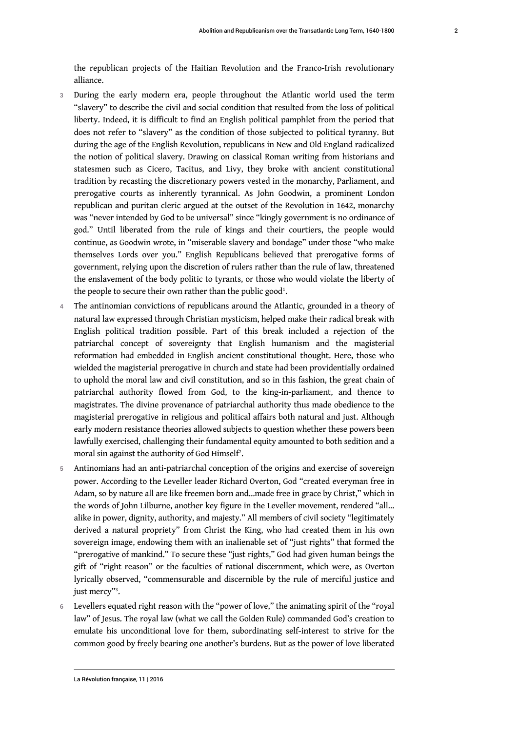the republican projects of the Haitian Revolution and the Franco-Irish revolutionary alliance.

- 3 During the early modern era, people throughout the Atlantic world used the term "slavery" to describe the civil and social condition that resulted from the loss of political liberty. Indeed, it is difficult to find an English political pamphlet from the period that does not refer to "slavery" as the condition of those subjected to political tyranny. But during the age of the English Revolution, republicans in New and Old England radicalized the notion of political slavery. Drawing on classical Roman writing from historians and statesmen such as Cicero, Tacitus, and Livy, they broke with ancient constitutional tradition by recasting the discretionary powers vested in the monarchy, Parliament, and prerogative courts as inherently tyrannical. As John Goodwin, a prominent London republican and puritan cleric argued at the outset of the Revolution in 1642, monarchy was "never intended by God to be universal" since "kingly government is no ordinance of god." Until liberated from the rule of kings and their courtiers, the people would continue, as Goodwin wrote, in "miserable slavery and bondage" under those "who make themselves Lords over you." English Republicans believed that prerogative forms of government, relying upon the discretion of rulers rather than the rule of law, threatened the enslavement of the body politic to tyrants, or those who would violate the liberty of the people to secure their own rather than the public good $^{\rm l}$ .
- <span id="page-2-0"></span>4 The antinomian convictions of republicans around the Atlantic, grounded in a theory of natural law expressed through Christian mysticism, helped make their radical break with English political tradition possible. Part of this break included a rejection of the patriarchal concept of sovereignty that English humanism and the magisterial reformation had embedded in English ancient constitutional thought. Here, those who wielded the magisterial prerogative in church and state had been providentially ordained to uphold the moral law and civil constitution, and so in this fashion, the great chain of patriarchal authority flowed from God, to the king-in-parliament, and thence to magistrates. The divine provenance of patriarchal authority thus made obedience to the magisterial prerogative in religious and political affairs both natural and just. Although early modern resistance theories allowed subjects to question whether these powers been lawfully exercised, challenging their fundamental equity amounted to both sedition and a moral sin against the authority of God Himself $^{\rm 2}$  $^{\rm 2}$  $^{\rm 2}$ .
- <span id="page-2-1"></span>5 Antinomians had an anti-patriarchal conception of the origins and exercise of sovereign power. According to the Leveller leader Richard Overton, God "created everyman free in Adam, so by nature all are like freemen born and…made free in grace by Christ," which in the words of John Lilburne, another key figure in the Leveller movement, rendered "all… alike in power, dignity, authority, and majesty." All members of civil society "legitimately derived a natural propriety" from Christ the King, who had created them in his own sovereign image, endowing them with an inalienable set of "just rights" that formed the "prerogative of mankind." To secure these "just rights," God had given human beings the gift of "right reason" or the faculties of rational discernment, which were, as Overton lyrically observed, "commensurable and discernible by the rule of merciful justice and just mercy"[3](#page-19-0) .
- <span id="page-2-2"></span>Levellers equated right reason with the "power of love," the animating spirit of the "royal law" of Jesus. The royal law (what we call the Golden Rule) commanded God's creation to emulate his unconditional love for them, subordinating self-interest to strive for the common good by freely bearing one another's burdens. But as the power of love liberated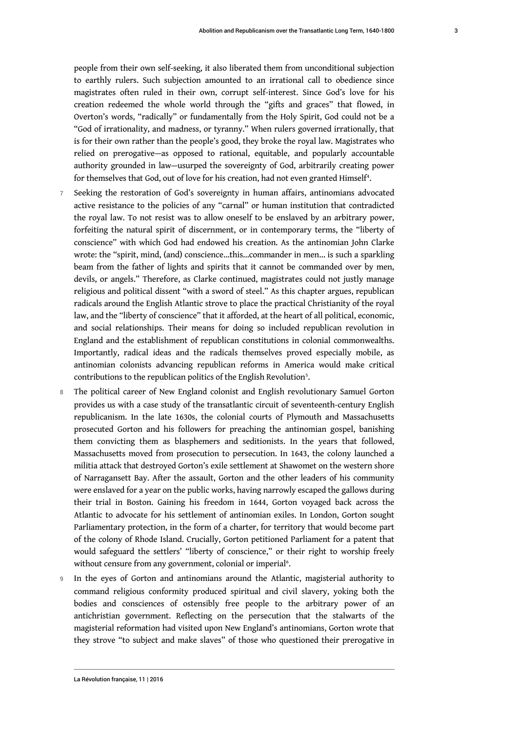people from their own self-seeking, it also liberated them from unconditional subjection to earthly rulers. Such subjection amounted to an irrational call to obedience since magistrates often ruled in their own, corrupt self-interest. Since God's love for his creation redeemed the whole world through the "gifts and graces" that flowed, in Overton's words, "radically" or fundamentally from the Holy Spirit, God could not be a "God of irrationality, and madness, or tyranny." When rulers governed irrationally, that is for their own rather than the people's good, they broke the royal law. Magistrates who relied on prerogative—as opposed to rational, equitable, and popularly accountable authority grounded in law—usurped the sovereignty of God, arbitrarily creating power for themselves that God, out of love for his creation, had not even granted Himself<sup>[4](#page-19-1)</sup>.

- <span id="page-3-0"></span>7 Seeking the restoration of God's sovereignty in human affairs, antinomians advocated active resistance to the policies of any "carnal" or human institution that contradicted the royal law. To not resist was to allow oneself to be enslaved by an arbitrary power, forfeiting the natural spirit of discernment, or in contemporary terms, the "liberty of conscience" with which God had endowed his creation. As the antinomian John Clarke wrote: the "spirit, mind, (and) conscience…this…commander in men… is such a sparkling beam from the father of lights and spirits that it cannot be commanded over by men, devils, or angels." Therefore, as Clarke continued, magistrates could not justly manage religious and political dissent "with a sword of steel." As this chapter argues, republican radicals around the English Atlantic strove to place the practical Christianity of the royal law, and the "liberty of conscience" that it afforded, at the heart of all political, economic, and social relationships. Their means for doing so included republican revolution in England and the establishment of republican constitutions in colonial commonwealths. Importantly, radical ideas and the radicals themselves proved especially mobile, as antinomian colonists advancing republican reforms in America would make critical contributions to the republican politics of the English Revolution<sup>[5](#page-19-2)</sup>.
- <span id="page-3-1"></span>8 The political career of New England colonist and English revolutionary Samuel Gorton provides us with a case study of the transatlantic circuit of seventeenth-century English republicanism. In the late 1630s, the colonial courts of Plymouth and Massachusetts prosecuted Gorton and his followers for preaching the antinomian gospel, banishing them convicting them as blasphemers and seditionists. In the years that followed, Massachusetts moved from prosecution to persecution. In 1643, the colony launched a militia attack that destroyed Gorton's exile settlement at Shawomet on the western shore of Narragansett Bay. After the assault, Gorton and the other leaders of his community were enslaved for a year on the public works, having narrowly escaped the gallows during their trial in Boston. Gaining his freedom in 1644, Gorton voyaged back across the Atlantic to advocate for his settlement of antinomian exiles. In London, Gorton sought Parliamentary protection, in the form of a charter, for territory that would become part of the colony of Rhode Island. Crucially, Gorton petitioned Parliament for a patent that would safeguard the settlers' "liberty of conscience," or their right to worship freely without censure from any government, colonial or imperial<sup>[6](#page-19-3)</sup>.
- <span id="page-3-2"></span>9 In the eyes of Gorton and antinomians around the Atlantic, magisterial authority to command religious conformity produced spiritual and civil slavery, yoking both the bodies and consciences of ostensibly free people to the arbitrary power of an antichristian government. Reflecting on the persecution that the stalwarts of the magisterial reformation had visited upon New England's antinomians, Gorton wrote that they strove "to subject and make slaves" of those who questioned their prerogative in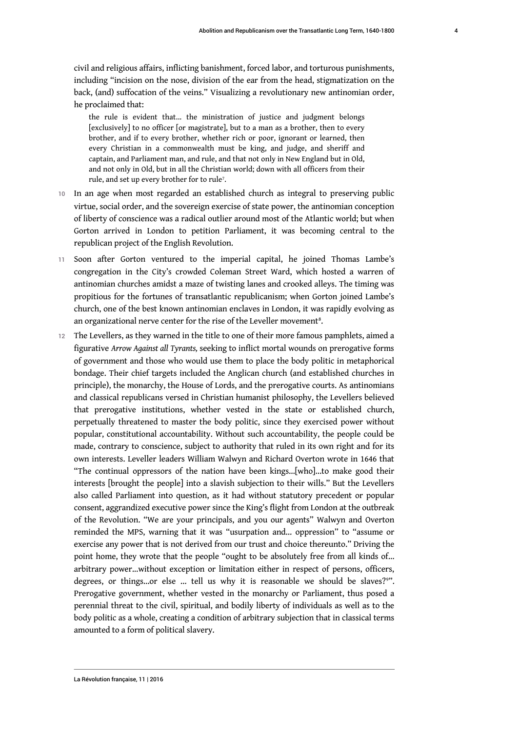civil and religious affairs, inflicting banishment, forced labor, and torturous punishments, including "incision on the nose, division of the ear from the head, stigmatization on the back, (and) suffocation of the veins." Visualizing a revolutionary new antinomian order, he proclaimed that:

<span id="page-4-0"></span>the rule is evident that... the ministration of justice and judgment belongs [exclusively] to no officer [or magistrate], but to a man as a brother, then to every brother, and if to every brother, whether rich or poor, ignorant or learned, then every Christian in a commonwealth must be king, and judge, and sheriff and captain, and Parliament man, and rule, and that not only in New England but in Old, and not only in Old, but in all the Christian world; down with all officers from their rule, and set up every brother for to rule<sup>[7](#page-19-4)</sup>.

- 10 In an age when most regarded an established church as integral to preserving public virtue, social order, and the sovereign exercise of state power, the antinomian conception of liberty of conscience was a radical outlier around most of the Atlantic world; but when Gorton arrived in London to petition Parliament, it was becoming central to the republican project of the English Revolution.
- 11 Soon after Gorton ventured to the imperial capital, he joined Thomas Lambe's congregation in the City's crowded Coleman Street Ward, which hosted a warren of antinomian churches amidst a maze of twisting lanes and crooked alleys. The timing was propitious for the fortunes of transatlantic republicanism; when Gorton joined Lambe's church, one of the best known antinomian enclaves in London, it was rapidly evolving as an organizational nerve center for the rise of the Leveller movement $^{\mathrm{s}}$ .
- <span id="page-4-1"></span>12 The Levellers, as they warned in the title to one of their more famous pamphlets, aimed a figurative *Arrow Against all Tyrants,* seeking to inflict mortal wounds on prerogative forms of government and those who would use them to place the body politic in metaphorical bondage. Their chief targets included the Anglican church (and established churches in principle), the monarchy, the House of Lords, and the prerogative courts. As antinomians and classical republicans versed in Christian humanist philosophy, the Levellers believed that prerogative institutions, whether vested in the state or established church, perpetually threatened to master the body politic, since they exercised power without popular, constitutional accountability. Without such accountability, the people could be made, contrary to conscience, subject to authority that ruled in its own right and for its own interests. Leveller leaders William Walwyn and Richard Overton wrote in 1646 that "The continual oppressors of the nation have been kings…[who]…to make good their interests [brought the people] into a slavish subjection to their wills." But the Levellers also called Parliament into question, as it had without statutory precedent or popular consent, aggrandized executive power since the King's flight from London at the outbreak of the Revolution. "We are your principals, and you our agents" Walwyn and Overton reminded the MPS, warning that it was "usurpation and… oppression" to "assume or exercise any power that is not derived from our trust and choice thereunto." Driving the point home, they wrote that the people "ought to be absolutely free from all kinds of… arbitrary power...without exception or limitation either in respect of persons, officers, degrees, or things...or else ... tell us why it is reasonable we should be slaves?<sup>[9](#page-19-6)"</sup>. Prerogative government, whether vested in the monarchy or Parliament, thus posed a perennial threat to the civil, spiritual, and bodily liberty of individuals as well as to the body politic as a whole, creating a condition of arbitrary subjection that in classical terms amounted to a form of political slavery.

<span id="page-4-2"></span>La Révolution française, 11 | 2016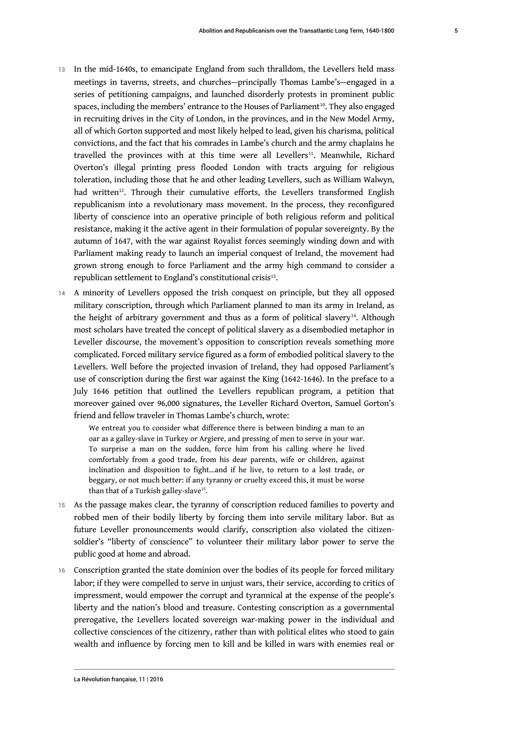- <span id="page-5-1"></span><span id="page-5-0"></span>13 In the mid-1640s, to emancipate England from such thralldom, the Levellers held mass meetings in taverns, streets, and churches—principally Thomas Lambe's—engaged in a series of petitioning campaigns, and launched disorderly protests in prominent public spaces, including the members' entrance to the Houses of Parliament<sup>[10](#page-19-7)</sup>. They also engaged in recruiting drives in the City of London, in the provinces, and in the New Model Army, all of which Gorton supported and most likely helped to lead, given his charisma, political convictions, and the fact that his comrades in Lambe's church and the army chaplains he travelled the provinces with at this time were all Levellers<sup>[11](#page-19-8)</sup>. Meanwhile, Richard Overton's illegal printing press flooded London with tracts arguing for religious toleration, including those that he and other leading Levellers, such as William Walwyn, had written<sup>[12](#page-19-9)</sup>. Through their cumulative efforts, the Levellers transformed English republicanism into a revolutionary mass movement. In the process, they reconfigured liberty of conscience into an operative principle of both religious reform and political resistance, making it the active agent in their formulation of popular sovereignty. By the autumn of 1647, with the war against Royalist forces seemingly winding down and with Parliament making ready to launch an imperial conquest of Ireland, the movement had grown strong enough to force Parliament and the army high command to consider a  $r$ epublican settlement to England's constitutional crisis $^{13}$  $^{13}$  $^{13}$ .
- <span id="page-5-3"></span><span id="page-5-2"></span>14 A minority of Levellers opposed the Irish conquest on principle, but they all opposed military conscription, through which Parliament planned to man its army in Ireland, as the height of arbitrary government and thus as a form of political slavery<sup>[14](#page-20-0)</sup>. Although most scholars have treated the concept of political slavery as a disembodied metaphor in Leveller discourse, the movement's opposition to conscription reveals something more complicated. Forced military service figured as a form of embodied political slavery to the Levellers. Well before the projected invasion of Ireland, they had opposed Parliament's use of conscription during the first war against the King (1642-1646). In the preface to a July 1646 petition that outlined the Levellers republican program, a petition that moreover gained over 96,000 signatures, the Leveller Richard Overton, Samuel Gorton's friend and fellow traveler in Thomas Lambe's church, wrote:

<span id="page-5-5"></span><span id="page-5-4"></span>We entreat you to consider what difference there is between binding a man to an oar as a galley-slave in Turkey or Argiere, and pressing of men to serve in your war. To surprise a man on the sudden, force him from his calling where he lived comfortably from a good trade, from his dear parents, wife or children, against inclination and disposition to fight…and if he live, to return to a lost trade, or beggary, or not much better: if any tyranny or cruelty exceed this, it must be worse than that of a Turkish galley-slave<sup>[15](#page-20-1)</sup>.

- 15 As the passage makes clear, the tyranny of conscription reduced families to poverty and robbed men of their bodily liberty by forcing them into servile military labor. But as future Leveller pronouncements would clarify, conscription also violated the citizensoldier's "liberty of conscience" to volunteer their military labor power to serve the public good at home and abroad.
- 16 Conscription granted the state dominion over the bodies of its people for forced military labor; if they were compelled to serve in unjust wars, their service, according to critics of impressment, would empower the corrupt and tyrannical at the expense of the people's liberty and the nation's blood and treasure. Contesting conscription as a governmental prerogative, the Levellers located sovereign war-making power in the individual and collective consciences of the citizenry, rather than with political elites who stood to gain wealth and influence by forcing men to kill and be killed in wars with enemies real or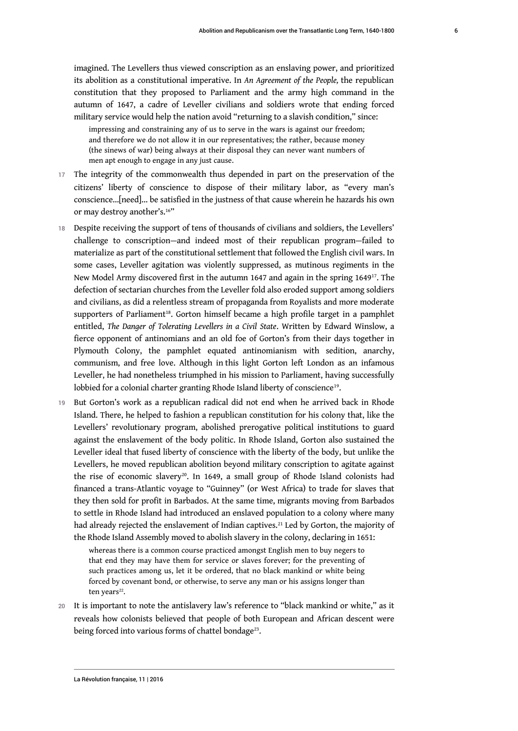imagined. The Levellers thus viewed conscription as an enslaving power, and prioritized its abolition as a constitutional imperative. In *An Agreement of the People,* the republican constitution that they proposed to Parliament and the army high command in the autumn of 1647, a cadre of Leveller civilians and soldiers wrote that ending forced military service would help the nation avoid "returning to a slavish condition," since:

impressing and constraining any of us to serve in the wars is against our freedom; and therefore we do not allow it in our representatives; the rather, because money (the sinews of war) being always at their disposal they can never want numbers of men apt enough to engage in any just cause.

- 17 The integrity of the commonwealth thus depended in part on the preservation of the citizens' liberty of conscience to dispose of their military labor, as "every man's conscience…[need]... be satisfied in the justness of that cause wherein he hazards his own or may destroy another's.<sup>[16](#page-20-2)"</sup>
- <span id="page-6-2"></span><span id="page-6-1"></span><span id="page-6-0"></span>18 Despite receiving the support of tens of thousands of civilians and soldiers, the Levellers' challenge to conscription—and indeed most of their republican program—failed to materialize as part of the constitutional settlement that followed the English civil wars. In some cases, Leveller agitation was violently suppressed, as mutinous regiments in the New Model Army discovered first in the autumn 1647 and again in the spring 1649[17](#page-20-3). The defection of sectarian churches from the Leveller fold also eroded support among soldiers and civilians, as did a relentless stream of propaganda from Royalists and more moderate supporters of Parliament<sup>[18](#page-20-4)</sup>. Gorton himself became a high profile target in a pamphlet entitled, *The Danger of Tolerating Levellers in a Civil State*. Written by Edward Winslow, a fierce opponent of antinomians and an old foe of Gorton's from their days together in Plymouth Colony, the pamphlet equated antinomianism with sedition, anarchy, communism, and free love. Although in this light Gorton left London as an infamous Leveller, he had nonetheless triumphed in his mission to Parliament, having successfully lobbied for a colonial charter granting Rhode Island liberty of conscience<sup>[19](#page-20-5)</sup>.
- <span id="page-6-3"></span>19 But Gorton's work as a republican radical did not end when he arrived back in Rhode Island. There, he helped to fashion a republican constitution for his colony that, like the Levellers' revolutionary program, abolished prerogative political institutions to guard against the enslavement of the body politic. In Rhode Island, Gorton also sustained the Leveller ideal that fused liberty of conscience with the liberty of the body, but unlike the Levellers, he moved republican abolition beyond military conscription to agitate against the rise of economic slavery<sup>[20](#page-20-6)</sup>. In 1649, a small group of Rhode Island colonists had financed a trans-Atlantic voyage to "Guinney" (or West Africa) to trade for slaves that they then sold for profit in Barbados. At the same time, migrants moving from Barbados to settle in Rhode Island had introduced an enslaved population to a colony where many had already rejected the enslavement of Indian captives.<sup>[21](#page-20-7)</sup> Led by Gorton, the majority of the Rhode Island Assembly moved to abolish slavery in the colony, declaring in 1651:

<span id="page-6-7"></span><span id="page-6-6"></span><span id="page-6-5"></span><span id="page-6-4"></span>whereas there is a common course practiced amongst English men to buy negers to that end they may have them for service or slaves forever; for the preventing of such practices among us, let it be ordered, that no black mankind or white being forced by covenant bond, or otherwise, to serve any man or his assigns longer than ten years<sup>[22](#page-20-8)</sup>.

20 It is important to note the antislavery law's reference to "black mankind or white," as it reveals how colonists believed that people of both European and African descent were being forced into various forms of chattel bondage $^{\scriptscriptstyle 23}$  $^{\scriptscriptstyle 23}$  $^{\scriptscriptstyle 23}$ .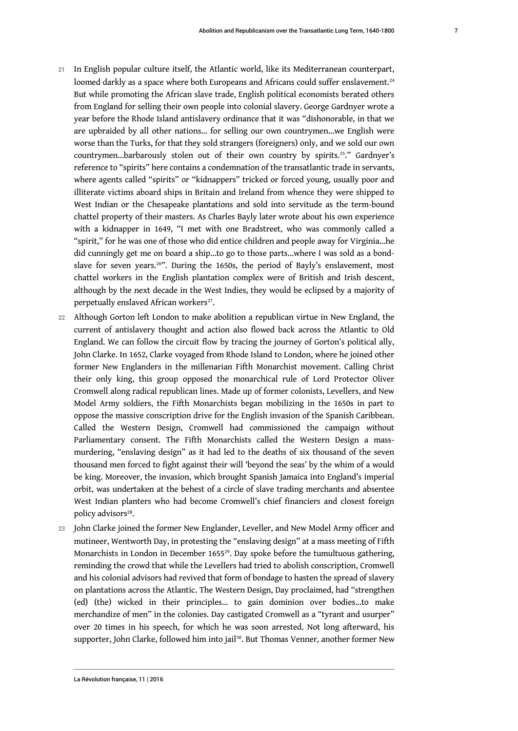- <span id="page-7-1"></span><span id="page-7-0"></span>21 In English popular culture itself, the Atlantic world, like its Mediterranean counterpart, loomed darkly as a space where both Europeans and Africans could suffer enslavement.<sup>[24](#page-20-10)</sup> But while promoting the African slave trade, English political economists berated others from England for selling their own people into colonial slavery. George Gardnyer wrote a year before the Rhode Island antislavery ordinance that it was "dishonorable, in that we are upbraided by all other nations… for selling our own countrymen…we English were worse than the Turks, for that they sold strangers (foreigners) only, and we sold our own countrymen...barbarously stolen out of their own country by spirits.<sup>[25](#page-20-11)</sup>." Gardnyer's reference to "spirits" here contains a condemnation of the transatlantic trade in servants, where agents called "spirits" or "kidnappers" tricked or forced young, usually poor and illiterate victims aboard ships in Britain and Ireland from whence they were shipped to West Indian or the Chesapeake plantations and sold into servitude as the term-bound chattel property of their masters. As Charles Bayly later wrote about his own experience with a kidnapper in 1649, "I met with one Bradstreet, who was commonly called a "spirit," for he was one of those who did entice children and people away for Virginia…he did cunningly get me on board a ship…to go to those parts…where I was sold as a bond-slave for seven years.<sup>[26](#page-20-12)</sup>". During the 1650s, the period of Bayly's enslavement, most chattel workers in the English plantation complex were of British and Irish descent, although by the next decade in the West Indies, they would be eclipsed by a majority of perpetually enslaved African workers<sup>[27](#page-20-13)</sup>.
- <span id="page-7-3"></span><span id="page-7-2"></span>22 Although Gorton left London to make abolition a republican virtue in New England, the current of antislavery thought and action also flowed back across the Atlantic to Old England. We can follow the circuit flow by tracing the journey of Gorton's political ally, John Clarke. In 1652, Clarke voyaged from Rhode Island to London, where he joined other former New Englanders in the millenarian Fifth Monarchist movement. Calling Christ their only king, this group opposed the monarchical rule of Lord Protector Oliver Cromwell along radical republican lines. Made up of former colonists, Levellers, and New Model Army soldiers, the Fifth Monarchists began mobilizing in the 1650s in part to oppose the massive conscription drive for the English invasion of the Spanish Caribbean. Called the Western Design, Cromwell had commissioned the campaign without Parliamentary consent. The Fifth Monarchists called the Western Design a massmurdering, "enslaving design" as it had led to the deaths of six thousand of the seven thousand men forced to fight against their will 'beyond the seas' by the whim of a would be king. Moreover, the invasion, which brought Spanish Jamaica into England's imperial orbit, was undertaken at the behest of a circle of slave trading merchants and absentee West Indian planters who had become Cromwell's chief financiers and closest foreign policy advisors<sup>[28](#page-21-0)</sup>.
- <span id="page-7-6"></span><span id="page-7-5"></span><span id="page-7-4"></span>23 John Clarke joined the former New Englander, Leveller, and New Model Army officer and mutineer, Wentworth Day, in protesting the "enslaving design" at a mass meeting of Fifth Monarchists in London in December 1655[29](#page-21-1). Day spoke before the tumultuous gathering, reminding the crowd that while the Levellers had tried to abolish conscription, Cromwell and his colonial advisors had revived that form of bondage to hasten the spread of slavery on plantations across the Atlantic. The Western Design, Day proclaimed, had "strengthen (ed) (the) wicked in their principles… to gain dominion over bodies…to make merchandize of men" in the colonies. Day castigated Cromwell as a "tyrant and usurper" over 20 times in his speech, for which he was soon arrested. Not long afterward, his supporter, John Clarke, followed him into jail<sup>[30](#page-21-2)</sup>. But Thomas Venner, another former New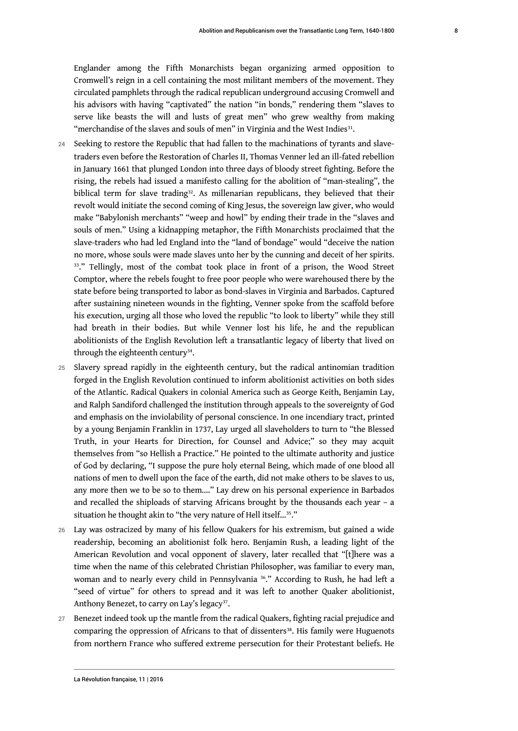<span id="page-8-0"></span>Englander among the Fifth Monarchists began organizing armed opposition to Cromwell's reign in a cell containing the most militant members of the movement. They circulated pamphlets through the radical republican underground accusing Cromwell and his advisors with having "captivated" the nation "in bonds," rendering them "slaves to serve like beasts the will and lusts of great men" who grew wealthy from making "merchandise of the slaves and souls of men" in Virginia and the West Indies $^{31}$  $^{31}$  $^{31}$ .

- <span id="page-8-1"></span>24 Seeking to restore the Republic that had fallen to the machinations of tyrants and slavetraders even before the Restoration of Charles II, Thomas Venner led an ill-fated rebellion in January 1661 that plunged London into three days of bloody street fighting. Before the rising, the rebels had issued a manifesto calling for the abolition of "man-stealing", the biblical term for slave trading<sup>[32](#page-21-4)</sup>. As millenarian republicans, they believed that their revolt would initiate the second coming of King Jesus, the sovereign law giver, who would make "Babylonish merchants" "weep and howl" by ending their trade in the "slaves and souls of men." Using a kidnapping metaphor, the Fifth Monarchists proclaimed that the slave-traders who had led England into the "land of bondage" would "deceive the nation no more, whose souls were made slaves unto her by the cunning and deceit of her spirits. <sup>[33](#page-21-5)</sup>." Tellingly, most of the combat took place in front of a prison, the Wood Street Comptor, where the rebels fought to free poor people who were warehoused there by the state before being transported to labor as bond-slaves in Virginia and Barbados. Captured after sustaining nineteen wounds in the fighting, Venner spoke from the scaffold before his execution, urging all those who loved the republic "to look to liberty" while they still had breath in their bodies. But while Venner lost his life, he and the republican abolitionists of the English Revolution left a transatlantic legacy of liberty that lived on through the eighteenth century<sup>[34](#page-21-6)</sup>.
- <span id="page-8-3"></span><span id="page-8-2"></span>25 Slavery spread rapidly in the eighteenth century, but the radical antinomian tradition forged in the English Revolution continued to inform abolitionist activities on both sides of the Atlantic. Radical Quakers in colonial America such as George Keith, Benjamin Lay, and Ralph Sandiford challenged the institution through appeals to the sovereignty of God and emphasis on the inviolability of personal conscience. In one incendiary tract, printed by a young Benjamin Franklin in 1737, Lay urged all slaveholders to turn to "the Blessed Truth, in your Hearts for Direction, for Counsel and Advice;" so they may acquit themselves from "so Hellish a Practice." He pointed to the ultimate authority and justice of God by declaring, "I suppose the pure holy eternal Being, which made of one blood all nations of men to dwell upon the face of the earth, did not make others to be slaves to us, any more then we to be so to them...." Lay drew on his personal experience in Barbados and recalled the shiploads of starving Africans brought by the thousands each year – a situation he thought akin to "the very nature of Hell itself...<sup>[35](#page-21-7)</sup>."
- <span id="page-8-4"></span>26 Lay was ostracized by many of his fellow Quakers for his extremism, but gained a wide readership, becoming an abolitionist folk hero. Benjamin Rush, a leading light of the American Revolution and vocal opponent of slavery, later recalled that "[t]here was a time when the name of this celebrated Christian Philosopher, was familiar to every man, woman and to nearly every child in Pennsylvania<sup>[36](#page-21-8)</sup>." According to Rush, he had left a "seed of virtue" for others to spread and it was left to another Quaker abolitionist, Anthony Benezet, to carry on Lay's legacy<sup>[37](#page-21-9)</sup>.
- <span id="page-8-7"></span><span id="page-8-6"></span><span id="page-8-5"></span>27 Benezet indeed took up the mantle from the radical Quakers, fighting racial prejudice and comparing the oppression of Africans to that of dissenters<sup>[38](#page-21-10)</sup>. His family were Huguenots from northern France who suffered extreme persecution for their Protestant beliefs. He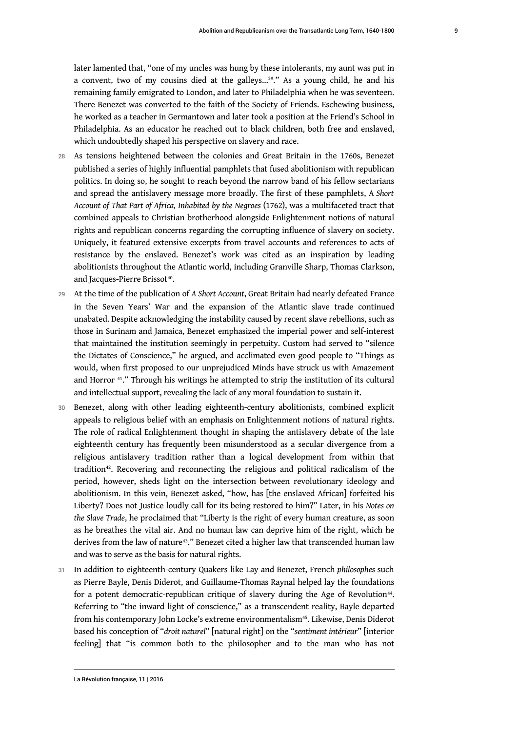<span id="page-9-0"></span>later lamented that, "one of my uncles was hung by these intolerants, my aunt was put in a convent, two of my cousins died at the galleys...<sup>[39](#page-21-11)</sup>." As a young child, he and his remaining family emigrated to London, and later to Philadelphia when he was seventeen. There Benezet was converted to the faith of the Society of Friends. Eschewing business, he worked as a teacher in Germantown and later took a position at the Friend's School in Philadelphia. As an educator he reached out to black children, both free and enslaved, which undoubtedly shaped his perspective on slavery and race.

- 28 As tensions heightened between the colonies and Great Britain in the 1760s, Benezet published a series of highly influential pamphlets that fused abolitionism with republican politics. In doing so, he sought to reach beyond the narrow band of his fellow sectarians and spread the antislavery message more broadly. The first of these pamphlets, A *Short Account of That Part of Africa, Inhabited by the Negroes* (1762), was a multifaceted tract that combined appeals to Christian brotherhood alongside Enlightenment notions of natural rights and republican concerns regarding the corrupting influence of slavery on society. Uniquely, it featured extensive excerpts from travel accounts and references to acts of resistance by the enslaved. Benezet's work was cited as an inspiration by leading abolitionists throughout the Atlantic world, including Granville Sharp, Thomas Clarkson, and Jacques-Pierre Brissot<sup>[40](#page-21-12)</sup>.
- <span id="page-9-1"></span><sup>29</sup>At the time of the publication of *A Short Account*, Great Britain had nearly defeated France in the Seven Years' War and the expansion of the Atlantic slave trade continued unabated. Despite acknowledging the instability caused by recent slave rebellions, such as those in Surinam and Jamaica, Benezet emphasized the imperial power and self-interest that maintained the institution seemingly in perpetuity. Custom had served to "silence the Dictates of Conscience," he argued, and acclimated even good people to "Things as would, when first proposed to our unprejudiced Minds have struck us with Amazement and Horror [41](#page-22-0)." Through his writings he attempted to strip the institution of its cultural and intellectual support, revealing the lack of any moral foundation to sustain it.
- <span id="page-9-3"></span><span id="page-9-2"></span>30 Benezet, along with other leading eighteenth-century abolitionists, combined explicit appeals to religious belief with an emphasis on Enlightenment notions of natural rights. The role of radical Enlightenment thought in shaping the antislavery debate of the late eighteenth century has frequently been misunderstood as a secular divergence from a religious antislavery tradition rather than a logical development from within that tradition<sup>[42](#page-22-1)</sup>. Recovering and reconnecting the religious and political radicalism of the period, however, sheds light on the intersection between revolutionary ideology and abolitionism. In this vein, Benezet asked, "how, has [the enslaved African] forfeited his Liberty? Does not Justice loudly call for its being restored to him?" Later, in his *Notes on the Slave Trade*, he proclaimed that "Liberty is the right of every human creature, as soon as he breathes the vital air. And no human law can deprive him of the right, which he derives from the law of nature<sup>[43](#page-22-2)</sup>." Benezet cited a higher law that transcended human law and was to serve as the basis for natural rights.
- <span id="page-9-6"></span><span id="page-9-5"></span><span id="page-9-4"></span><sup>31</sup>In addition to eighteenth-century Quakers like Lay and Benezet, French *philosophes* such as Pierre Bayle, Denis Diderot, and Guillaume-Thomas Raynal helped lay the foundations for a potent democratic-republican critique of slavery during the Age of Revolution $^{44}.$  $^{44}.$  $^{44}.$ Referring to "the inward light of conscience," as a transcendent reality, Bayle departed from his contemporary John Locke's extreme environmentalism<sup>[45](#page-23-0)</sup>. Likewise, Denis Diderot based his conception of "*droit naturel*" [natural right] on the "*sentiment intérieur*" [interior feeling] that "is common both to the philosopher and to the man who has not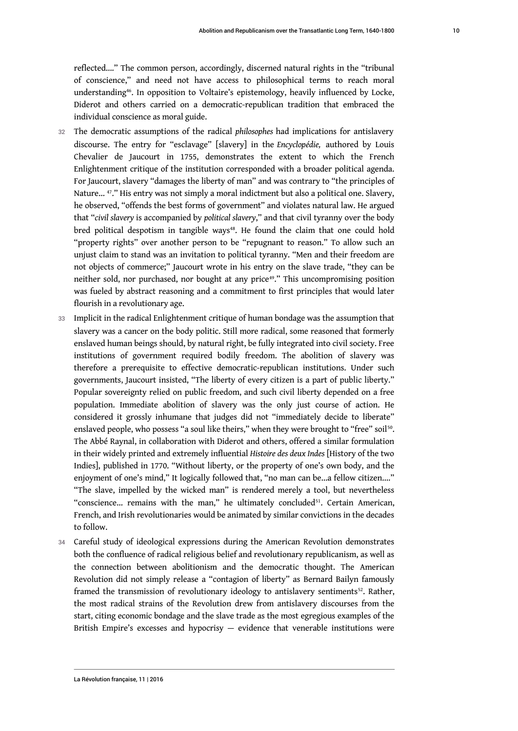<span id="page-10-0"></span>reflected...." The common person, accordingly, discerned natural rights in the "tribunal of conscience," and need not have access to philosophical terms to reach moral understanding[46](#page-23-1). In opposition to Voltaire's epistemology, heavily influenced by Locke, Diderot and others carried on a democratic-republican tradition that embraced the individual conscience as moral guide.

- <span id="page-10-1"></span><sup>32</sup>The democratic assumptions of the radical *philosophes* had implications for antislavery discourse. The entry for "esclavage" [slavery] in the *Encyclopédie,* authored by Louis Chevalier de Jaucourt in 1755, demonstrates the extent to which the French Enlightenment critique of the institution corresponded with a broader political agenda. For Jaucourt, slavery "damages the liberty of man" and was contrary to "the principles of Nature...<sup>[47](#page-23-2)</sup>." His entry was not simply a moral indictment but also a political one. Slavery, he observed, "offends the best forms of government" and violates natural law. He argued that "*civil slavery* is accompanied by *political slavery*," and that civil tyranny over the body bred political despotism in tangible ways<sup>[48](#page-23-3)</sup>. He found the claim that one could hold "property rights" over another person to be "repugnant to reason." To allow such an unjust claim to stand was an invitation to political tyranny. "Men and their freedom are not objects of commerce;" Jaucourt wrote in his entry on the slave trade, "they can be neither sold, nor purchased, nor bought at any price [49](#page-23-4)." This uncompromising position was fueled by abstract reasoning and a commitment to first principles that would later flourish in a revolutionary age.
- <span id="page-10-4"></span><span id="page-10-3"></span><span id="page-10-2"></span>33 Implicit in the radical Enlightenment critique of human bondage was the assumption that slavery was a cancer on the body politic. Still more radical, some reasoned that formerly enslaved human beings should, by natural right, be fully integrated into civil society. Free institutions of government required bodily freedom. The abolition of slavery was therefore a prerequisite to effective democratic-republican institutions. Under such governments, Jaucourt insisted, "The liberty of every citizen is a part of public liberty." Popular sovereignty relied on public freedom, and such civil liberty depended on a free population. Immediate abolition of slavery was the only just course of action. He considered it grossly inhumane that judges did not "immediately decide to liberate" enslaved people, who possess "a soul like theirs," when they were brought to "free" soil $^{\mathfrak{so}}$ . The Abbé Raynal, in collaboration with Diderot and others, offered a similar formulation in their widely printed and extremely influential *Histoire des deux Indes* [History of the two Indies], published in 1770. "Without liberty, or the property of one's own body, and the enjoyment of one's mind," It logically followed that, "no man can be...a fellow citizen...." "The slave, impelled by the wicked man" is rendered merely a tool, but nevertheless "conscience... remains with the man," he ultimately concluded<sup>[51](#page-23-6)</sup>. Certain American, French, and Irish revolutionaries would be animated by similar convictions in the decades to follow.
- <span id="page-10-6"></span><span id="page-10-5"></span>34 Careful study of ideological expressions during the American Revolution demonstrates both the confluence of radical religious belief and revolutionary republicanism, as well as the connection between abolitionism and the democratic thought. The American Revolution did not simply release a "contagion of liberty" as Bernard Bailyn famously framed the transmission of revolutionary ideology to antislavery sentiments<sup>[52](#page-23-7)</sup>. Rather, the most radical strains of the Revolution drew from antislavery discourses from the start, citing economic bondage and the slave trade as the most egregious examples of the British Empire's excesses and hypocrisy — evidence that venerable institutions were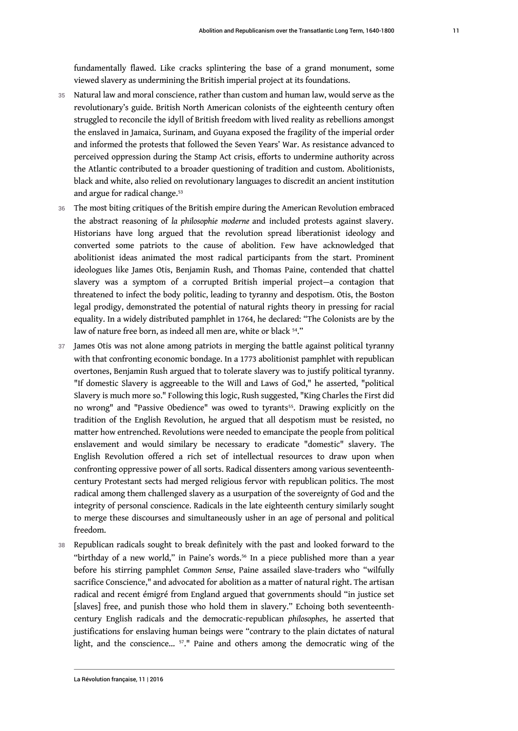fundamentally flawed. Like cracks splintering the base of a grand monument, some viewed slavery as undermining the British imperial project at its foundations.

- 35 Natural law and moral conscience, rather than custom and human law, would serve as the revolutionary's guide. British North American colonists of the eighteenth century often struggled to reconcile the idyll of British freedom with lived reality as rebellions amongst the enslaved in Jamaica, Surinam, and Guyana exposed the fragility of the imperial order and informed the protests that followed the Seven Years' War. As resistance advanced to perceived oppression during the Stamp Act crisis, efforts to undermine authority across the Atlantic contributed to a broader questioning of tradition and custom. Abolitionists, black and white, also relied on revolutionary languages to discredit an ancient institution and argue for radical change.<sup>[53](#page-23-8)</sup>
- <span id="page-11-0"></span>36 The most biting critiques of the British empire during the American Revolution embraced the abstract reasoning of *la philosophie moderne* and included protests against slavery. Historians have long argued that the revolution spread liberationist ideology and converted some patriots to the cause of abolition. Few have acknowledged that abolitionist ideas animated the most radical participants from the start. Prominent ideologues like James Otis, Benjamin Rush, and Thomas Paine, contended that chattel slavery was a symptom of a corrupted British imperial project—a contagion that threatened to infect the body politic, leading to tyranny and despotism. Otis, the Boston legal prodigy, demonstrated the potential of natural rights theory in pressing for racial equality. In a widely distributed pamphlet in 1764, he declared: "The Colonists are by the law of nature free born, as indeed all men are, white or black <sup>[54](#page-23-9)</sup>."
- <span id="page-11-2"></span><span id="page-11-1"></span>37 James Otis was not alone among patriots in merging the battle against political tyranny with that confronting economic bondage. In a 1773 abolitionist pamphlet with republican overtones, Benjamin Rush argued that to tolerate slavery was to justify political tyranny. "If domestic Slavery is aggreeable to the Will and Laws of God," he asserted, "political Slavery is much more so." Following this logic, Rush suggested, "King Charles the First did no wrong" and "Passive Obedience" was owed to tyrants<sup>[55](#page-23-10)</sup>. Drawing explicitly on the tradition of the English Revolution, he argued that all despotism must be resisted, no matter how entrenched. Revolutions were needed to emancipate the people from political enslavement and would similary be necessary to eradicate "domestic" slavery. The English Revolution offered a rich set of intellectual resources to draw upon when confronting oppressive power of all sorts. Radical dissenters among various seventeenthcentury Protestant sects had merged religious fervor with republican politics. The most radical among them challenged slavery as a usurpation of the sovereignty of God and the integrity of personal conscience. Radicals in the late eighteenth century similarly sought to merge these discourses and simultaneously usher in an age of personal and political freedom.
- <span id="page-11-4"></span><span id="page-11-3"></span>38 Republican radicals sought to break definitely with the past and looked forward to the "birthday of a new world," in Paine's words.<sup>[56](#page-23-11)</sup> In a piece published more than a year before his stirring pamphlet *Common Sense*, Paine assailed slave-traders who "wilfully sacrifice Conscience," and advocated for abolition as a matter of natural right. The artisan radical and recent émigré from England argued that governments should "in justice set [slaves] free, and punish those who hold them in slavery." Echoing both seventeenthcentury English radicals and the democratic-republican *philosophes*, he asserted that justifications for enslaving human beings were "contrary to the plain dictates of natural light, and the conscience... [57](#page-23-12)." Paine and others among the democratic wing of the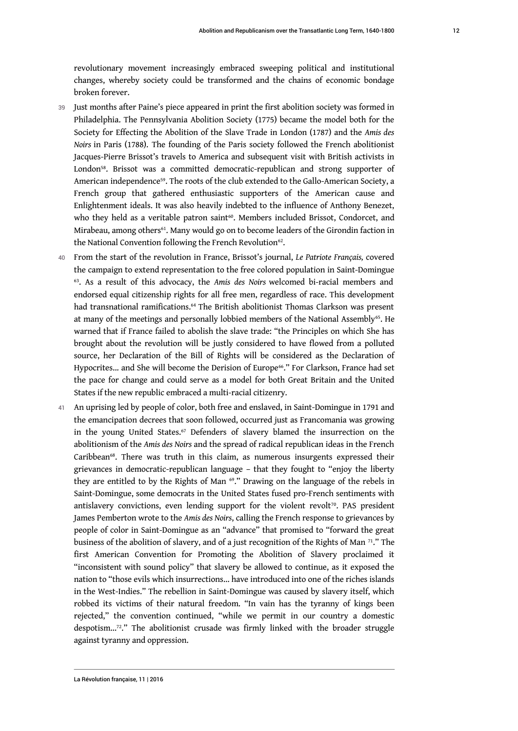revolutionary movement increasingly embraced sweeping political and institutional changes, whereby society could be transformed and the chains of economic bondage broken forever.

- <span id="page-12-1"></span><span id="page-12-0"></span>39 Just months after Paine's piece appeared in print the first abolition society was formed in Philadelphia. The Pennsylvania Abolition Society (1775) became the model both for the Society for Effecting the Abolition of the Slave Trade in London (1787) and the *Amis des Noirs* in Paris (1788). The founding of the Paris society followed the French abolitionist Jacques-Pierre Brissot's travels to America and subsequent visit with British activists in London[58](#page-23-13). Brissot was a committed democratic-republican and strong supporter of American independence<sup>[59](#page-24-0)</sup>. The roots of the club extended to the Gallo-American Society, a French group that gathered enthusiastic supporters of the American cause and Enlightenment ideals. It was also heavily indebted to the influence of Anthony Benezet, who they held as a veritable patron saint<sup>[60](#page-24-1)</sup>. Members included Brissot, Condorcet, and Mirabeau, among others<sup>[61](#page-24-2)</sup>. Many would go on to become leaders of the Girondin faction in the National Convention following the French Revolution $62$ .
- <span id="page-12-7"></span><span id="page-12-6"></span><span id="page-12-5"></span><span id="page-12-4"></span><span id="page-12-3"></span><span id="page-12-2"></span><sup>40</sup>From the start of the revolution in France, Brissot's journal, *Le Patriote Français,* covered the campaign to extend representation to the free colored population in Saint-Domingue [63](#page-24-4) . As a result of this advocacy, the *Amis des Noirs* welcomed bi-racial members and endorsed equal citizenship rights for all free men, regardless of race. This development had transnational ramifications.<sup>[64](#page-24-5)</sup> The British abolitionist Thomas Clarkson was present at many of the meetings and personally lobbied members of the National Assembly<sup>[65](#page-24-6)</sup>. He warned that if France failed to abolish the slave trade: "the Principles on which She has brought about the revolution will be justly considered to have flowed from a polluted source, her Declaration of the Bill of Rights will be considered as the Declaration of Hypocrites... and She will become the Derision of Europe<sup>[66](#page-24-7)</sup>." For Clarkson, France had set the pace for change and could serve as a model for both Great Britain and the United States if the new republic embraced a multi-racial citizenry.
- <span id="page-12-14"></span><span id="page-12-13"></span><span id="page-12-12"></span><span id="page-12-11"></span><span id="page-12-10"></span><span id="page-12-9"></span><span id="page-12-8"></span>41 An uprising led by people of color, both free and enslaved, in Saint-Domingue in 1791 and the emancipation decrees that soon followed, occurred just as Francomania was growing in the young United States.<sup>[67](#page-24-8)</sup> Defenders of slavery blamed the insurrection on the abolitionism of the *Amis des Noirs* and the spread of radical republican ideas in the French Caribbean<sup>[68](#page-24-9)</sup>. There was truth in this claim, as numerous insurgents expressed their grievances in democratic-republican language – that they fought to "enjoy the liberty they are entitled to by the Rights of Man <sup>[69](#page-24-10)</sup>." Drawing on the language of the rebels in Saint-Domingue, some democrats in the United States fused pro-French sentiments with antislavery convictions, even lending support for the violent revolt<sup>[70](#page-24-11)</sup>. PAS president James Pemberton wrote to the *Amis des Noirs*, calling the French response to grievances by people of color in Saint-Domingue as an "advance" that promised to "forward the great business of the abolition of slavery, and of a just recognition of the Rights of Man <sup>[71](#page-24-12)</sup>." The first American Convention for Promoting the Abolition of Slavery proclaimed it "inconsistent with sound policy" that slavery be allowed to continue, as it exposed the nation to "those evils which insurrections… have introduced into one of the riches islands in the West-Indies." The rebellion in Saint-Domingue was caused by slavery itself, which robbed its victims of their natural freedom. "In vain has the tyranny of kings been rejected," the convention continued, "while we permit in our country a domestic despotism…[72](#page-25-0)." The abolitionist crusade was firmly linked with the broader struggle against tyranny and oppression.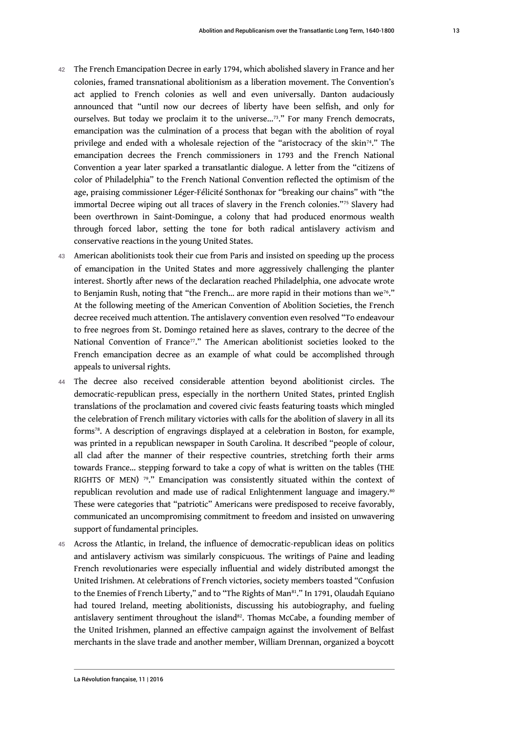- <span id="page-13-1"></span><span id="page-13-0"></span>42 The French Emancipation Decree in early 1794, which abolished slavery in France and her colonies, framed transnational abolitionism as a liberation movement. The Convention's act applied to French colonies as well and even universally. Danton audaciously announced that "until now our decrees of liberty have been selfish, and only for ourselves. But today we proclaim it to the universe...<sup>[73](#page-25-1)</sup>." For many French democrats, emancipation was the culmination of a process that began with the abolition of royal privilege and ended with a wholesale rejection of the "aristocracy of the skin<sup>[74](#page-25-2)</sup>." The emancipation decrees the French commissioners in 1793 and the French National Convention a year later sparked a transatlantic dialogue. A letter from the "citizens of color of Philadelphia" to the French National Convention reflected the optimism of the age, praising commissioner Léger-Félicité Sonthonax for "breaking our chains" with "the immortal Decree wiping out all traces of slavery in the French colonies."[75](#page-25-3) Slavery had been overthrown in Saint-Domingue, a colony that had produced enormous wealth through forced labor, setting the tone for both radical antislavery activism and conservative reactions in the young United States.
- <span id="page-13-3"></span><span id="page-13-2"></span>43 American abolitionists took their cue from Paris and insisted on speeding up the process of emancipation in the United States and more aggressively challenging the planter interest. Shortly after news of the declaration reached Philadelphia, one advocate wrote to Benjamin Rush, noting that "the French... are more rapid in their motions than we<sup>[76](#page-25-4)</sup>." At the following meeting of the American Convention of Abolition Societies, the French decree received much attention. The antislavery convention even resolved "To endeavour to free negroes from St. Domingo retained here as slaves, contrary to the decree of the National Convention of France<sup>[77](#page-25-5)</sup>." The American abolitionist societies looked to the French emancipation decree as an example of what could be accomplished through appeals to universal rights.
- <span id="page-13-5"></span><span id="page-13-4"></span>44 The decree also received considerable attention beyond abolitionist circles. The democratic-republican press, especially in the northern United States, printed English translations of the proclamation and covered civic feasts featuring toasts which mingled the celebration of French military victories with calls for the abolition of slavery in all its forms[78](#page-25-6). A description of engravings displayed at a celebration in Boston, for example, was printed in a republican newspaper in South Carolina. It described "people of colour, all clad after the manner of their respective countries, stretching forth their arms towards France… stepping forward to take a copy of what is written on the tables (THE RIGHTS OF MEN)  $79$ ." Emancipation was consistently situated within the context of republican revolution and made use of radical Enlightenment language and imagery.<sup>[80](#page-25-8)</sup> These were categories that "patriotic" Americans were predisposed to receive favorably, communicated an uncompromising commitment to freedom and insisted on unwavering support of fundamental principles.
- <span id="page-13-9"></span><span id="page-13-8"></span><span id="page-13-7"></span><span id="page-13-6"></span>45 Across the Atlantic, in Ireland, the influence of democratic-republican ideas on politics and antislavery activism was similarly conspicuous. The writings of Paine and leading French revolutionaries were especially influential and widely distributed amongst the United Irishmen. At celebrations of French victories, society members toasted "Confusion to the Enemies of French Liberty," and to "The Rights of Man<sup>[81](#page-25-9)</sup>." In 1791, Olaudah Equiano had toured Ireland, meeting abolitionists, discussing his autobiography, and fueling antislavery sentiment throughout the island<sup>[82](#page-25-10)</sup>. Thomas McCabe, a founding member of the United Irishmen, planned an effective campaign against the involvement of Belfast merchants in the slave trade and another member, William Drennan, organized a boycott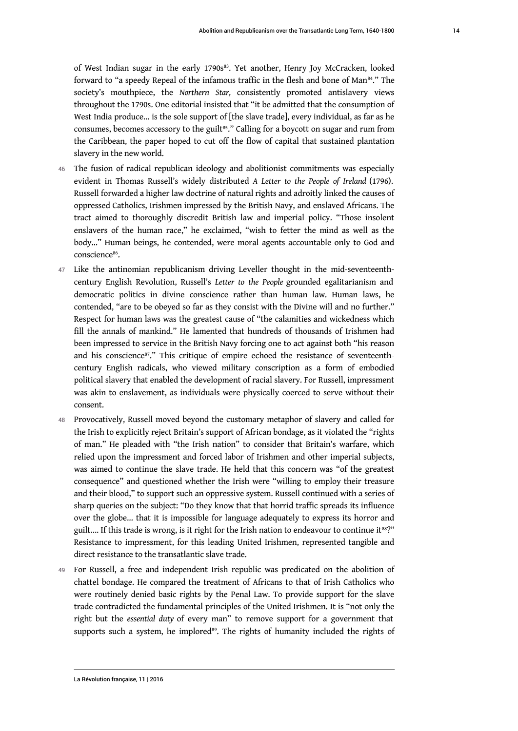<span id="page-14-2"></span><span id="page-14-1"></span><span id="page-14-0"></span>of West Indian sugar in the early 1790s<sup>[83](#page-25-11)</sup>. Yet another, Henry Joy McCracken, looked forward to "a speedy Repeal of the infamous traffic in the flesh and bone of Man<sup>[84](#page-25-12)</sup>." The society's mouthpiece, the *Northern Star,* consistently promoted antislavery views throughout the 1790s. One editorial insisted that "it be admitted that the consumption of West India produce... is the sole support of [the slave trade], every individual, as far as he consumes, becomes accessory to the guilt<sup>[85](#page-25-13)</sup>." Calling for a boycott on sugar and rum from the Caribbean, the paper hoped to cut off the flow of capital that sustained plantation slavery in the new world.

- 46 The fusion of radical republican ideology and abolitionist commitments was especially evident in Thomas Russell's widely distributed *A Letter to the People of Ireland* (1796). Russell forwarded a higher law doctrine of natural rights and adroitly linked the causes of oppressed Catholics, Irishmen impressed by the British Navy, and enslaved Africans. The tract aimed to thoroughly discredit British law and imperial policy. "Those insolent enslavers of the human race," he exclaimed, "wish to fetter the mind as well as the body..." Human beings, he contended, were moral agents accountable only to God and conscience<sup>[86](#page-25-14)</sup>.
- <span id="page-14-3"></span>47 Like the antinomian republicanism driving Leveller thought in the mid-seventeenthcentury English Revolution, Russell's *Letter to the People* grounded egalitarianism and democratic politics in divine conscience rather than human law. Human laws, he contended, "are to be obeyed so far as they consist with the Divine will and no further." Respect for human laws was the greatest cause of "the calamities and wickedness which fill the annals of mankind." He lamented that hundreds of thousands of Irishmen had been impressed to service in the British Navy forcing one to act against both "his reason and his conscience<sup>[87](#page-25-15)</sup>." This critique of empire echoed the resistance of seventeenthcentury English radicals, who viewed military conscription as a form of embodied political slavery that enabled the development of racial slavery. For Russell, impressment was akin to enslavement, as individuals were physically coerced to serve without their consent.
- <span id="page-14-4"></span>48 Provocatively, Russell moved beyond the customary metaphor of slavery and called for the Irish to explicitly reject Britain's support of African bondage, as it violated the "rights of man." He pleaded with "the Irish nation" to consider that Britain's warfare, which relied upon the impressment and forced labor of Irishmen and other imperial subjects, was aimed to continue the slave trade. He held that this concern was "of the greatest consequence" and questioned whether the Irish were "willing to employ their treasure and their blood," to support such an oppressive system. Russell continued with a series of sharp queries on the subject: "Do they know that that horrid traffic spreads its influence over the globe... that it is impossible for language adequately to express its horror and guilt.... If this trade is wrong, is it right for the Irish nation to endeavour to continue it<sup>[88](#page-25-16)</sup>?" Resistance to impressment, for this leading United Irishmen, represented tangible and direct resistance to the transatlantic slave trade.
- <span id="page-14-6"></span><span id="page-14-5"></span>49 For Russell, a free and independent Irish republic was predicated on the abolition of chattel bondage. He compared the treatment of Africans to that of Irish Catholics who were routinely denied basic rights by the Penal Law. To provide support for the slave trade contradicted the fundamental principles of the United Irishmen. It is "not only the right but the *essential duty* of every man" to remove support for a government that supports such a system, he implored<sup>[89](#page-25-17)</sup>. The rights of humanity included the rights of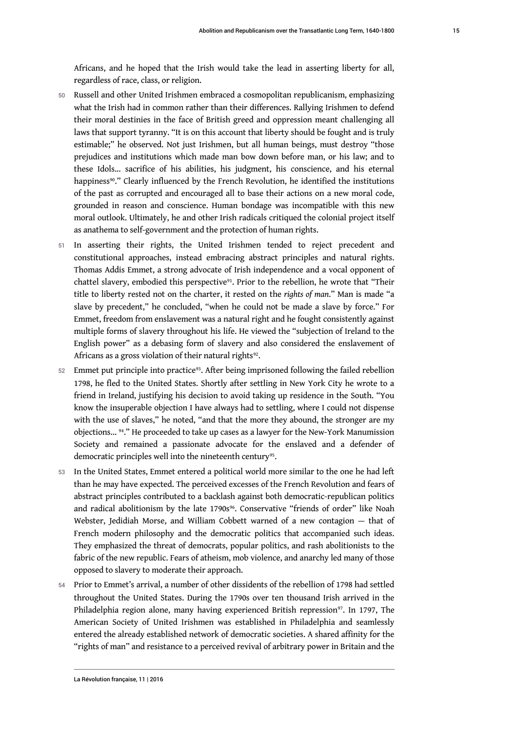Africans, and he hoped that the Irish would take the lead in asserting liberty for all, regardless of race, class, or religion.

- 50 Russell and other United Irishmen embraced a cosmopolitan republicanism, emphasizing what the Irish had in common rather than their differences. Rallying Irishmen to defend their moral destinies in the face of British greed and oppression meant challenging all laws that support tyranny. "It is on this account that liberty should be fought and is truly estimable;" he observed. Not just Irishmen, but all human beings, must destroy "those prejudices and institutions which made man bow down before man, or his law; and to these Idols... sacrifice of his abilities, his judgment, his conscience, and his eternal happiness<sup>[90](#page-25-18)</sup>." Clearly influenced by the French Revolution, he identified the institutions of the past as corrupted and encouraged all to base their actions on a new moral code, grounded in reason and conscience. Human bondage was incompatible with this new moral outlook. Ultimately, he and other Irish radicals critiqued the colonial project itself as anathema to self-government and the protection of human rights.
- <span id="page-15-1"></span><span id="page-15-0"></span>51 In asserting their rights, the United Irishmen tended to reject precedent and constitutional approaches, instead embracing abstract principles and natural rights. Thomas Addis Emmet, a strong advocate of Irish independence and a vocal opponent of chattel slavery, embodied this perspective<sup>[91](#page-25-19)</sup>. Prior to the rebellion, he wrote that "Their title to liberty rested not on the charter, it rested on the *rights of man*." Man is made "a slave by precedent," he concluded, "when he could not be made a slave by force." For Emmet, freedom from enslavement was a natural right and he fought consistently against multiple forms of slavery throughout his life. He viewed the "subjection of Ireland to the English power" as a debasing form of slavery and also considered the enslavement of Africans as a gross violation of their natural rights $^{92}$  $^{92}$  $^{92}$ .
- <span id="page-15-3"></span><span id="page-15-2"></span>52 Emmet put principle into practice<sup>[93](#page-25-21)</sup>. After being imprisoned following the failed rebellion 1798, he fled to the United States. Shortly after settling in New York City he wrote to a friend in Ireland, justifying his decision to avoid taking up residence in the South. "You know the insuperable objection I have always had to settling, where I could not dispense with the use of slaves," he noted, "and that the more they abound, the stronger are my objections... [94](#page-26-0)." He proceeded to take up cases as a lawyer for the New-York Manumission Society and remained a passionate advocate for the enslaved and a defender of democratic principles well into the nineteenth century<sup>[95](#page-26-1)</sup>.
- <span id="page-15-6"></span><span id="page-15-5"></span><span id="page-15-4"></span>53 In the United States, Emmet entered a political world more similar to the one he had left than he may have expected. The perceived excesses of the French Revolution and fears of abstract principles contributed to a backlash against both democratic-republican politics and radical abolitionism by the late 1790s<sup>[96](#page-26-2)</sup>. Conservative "friends of order" like Noah Webster, Jedidiah Morse, and William Cobbett warned of a new contagion — that of French modern philosophy and the democratic politics that accompanied such ideas. They emphasized the threat of democrats, popular politics, and rash abolitionists to the fabric of the new republic. Fears of atheism, mob violence, and anarchy led many of those opposed to slavery to moderate their approach.
- <span id="page-15-7"></span>54 Prior to Emmet's arrival, a number of other dissidents of the rebellion of 1798 had settled throughout the United States. During the 1790s over ten thousand Irish arrived in the Philadelphia region alone, many having experienced British repression<sup>[97](#page-26-3)</sup>. In 1797, The American Society of United Irishmen was established in Philadelphia and seamlessly entered the already established network of democratic societies. A shared affinity for the "rights of man" and resistance to a perceived revival of arbitrary power in Britain and the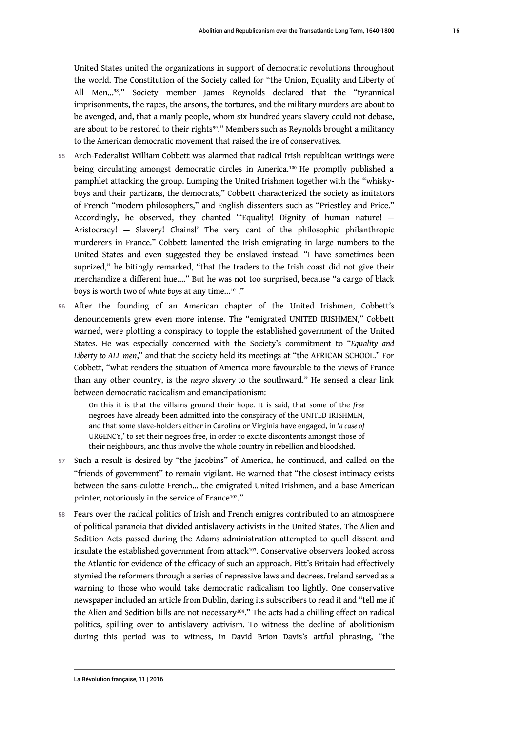<span id="page-16-1"></span><span id="page-16-0"></span>United States united the organizations in support of democratic revolutions throughout the world. The Constitution of the Society called for "the Union, Equality and Liberty of All Men…[98](#page-26-4)." Society member James Reynolds declared that the "tyrannical imprisonments, the rapes, the arsons, the tortures, and the military murders are about to be avenged, and, that a manly people, whom six hundred years slavery could not debase, are about to be restored to their rights[99](#page-26-5)." Members such as Reynolds brought a militancy to the American democratic movement that raised the ire of conservatives.

- <span id="page-16-2"></span>55 Arch-Federalist William Cobbett was alarmed that radical Irish republican writings were being circulating amongst democratic circles in America.[100](#page-26-6) He promptly published a pamphlet attacking the group. Lumping the United Irishmen together with the "whiskyboys and their partizans, the democrats," Cobbett characterized the society as imitators of French "modern philosophers," and English dissenters such as "Priestley and Price." Accordingly, he observed, they chanted "'Equality! Dignity of human nature! — Aristocracy! — Slavery! Chains!' The very cant of the philosophic philanthropic murderers in France." Cobbett lamented the Irish emigrating in large numbers to the United States and even suggested they be enslaved instead. "I have sometimes been suprized," he bitingly remarked, "that the traders to the Irish coast did not give their merchandize a different hue…." But he was not too surprised, because "a cargo of black boys is worth two of *white boys* at any time…[101](#page-26-7)."
- <span id="page-16-3"></span>56 After the founding of an American chapter of the United Irishmen, Cobbett's denouncements grew even more intense. The "emigrated UNITED IRISHMEN," Cobbett warned, were plotting a conspiracy to topple the established government of the United States. He was especially concerned with the Society's commitment to "*Equality and Liberty to ALL men*," and that the society held its meetings at "the AFRICAN SCHOOL." For Cobbett, "what renders the situation of America more favourable to the views of France than any other country, is the *negro slavery* to the southward." He sensed a clear link between democratic radicalism and emancipationism:

<span id="page-16-4"></span>On this it is that the villains ground their hope. It is said, that some of the *free* negroes have already been admitted into the conspiracy of the UNITED IRISHMEN, and that some slave-holders either in Carolina or Virginia have engaged, in '*a case of* URGENCY,' to set their negroes free, in order to excite discontents amongst those of their neighbours, and thus involve the whole country in rebellion and bloodshed.

- 57 Such a result is desired by "the jacobins" of America, he continued, and called on the "friends of government" to remain vigilant. He warned that "the closest intimacy exists between the sans-culotte French… the emigrated United Irishmen, and a base American printer, notoriously in the service of France<sup>[102](#page-26-8)</sup>."
- <span id="page-16-6"></span><span id="page-16-5"></span>58 Fears over the radical politics of Irish and French emigres contributed to an atmosphere of political paranoia that divided antislavery activists in the United States. The Alien and Sedition Acts passed during the Adams administration attempted to quell dissent and insulate the established government from attack<sup>[103](#page-26-9)</sup>. Conservative observers looked across the Atlantic for evidence of the efficacy of such an approach. Pitt's Britain had effectively stymied the reformers through a series of repressive laws and decrees. Ireland served as a warning to those who would take democratic radicalism too lightly. One conservative newspaper included an article from Dublin, daring its subscribers to read it and "tell me if the Alien and Sedition bills are not necessary<sup>[104](#page-26-10)</sup>." The acts had a chilling effect on radical politics, spilling over to antislavery activism. To witness the decline of abolitionism during this period was to witness, in David Brion Davis's artful phrasing, "the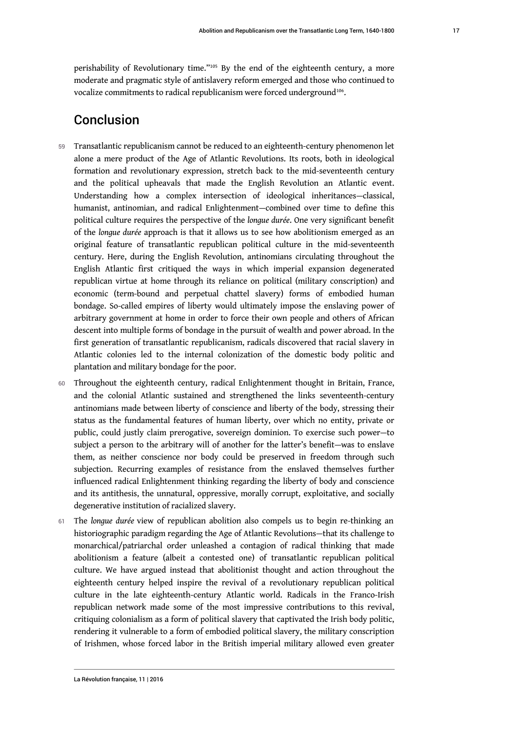<span id="page-17-1"></span><span id="page-17-0"></span>perishability of Revolutionary time."[105](#page-26-11) By the end of the eighteenth century, a more moderate and pragmatic style of antislavery reform emerged and those who continued to vocalize commitments to radical republicanism were forced underground $^{106}$  $^{106}$  $^{106}$ .

# Conclusion

- 59 Transatlantic republicanism cannot be reduced to an eighteenth-century phenomenon let alone a mere product of the Age of Atlantic Revolutions. Its roots, both in ideological formation and revolutionary expression, stretch back to the mid-seventeenth century and the political upheavals that made the English Revolution an Atlantic event. Understanding how a complex intersection of ideological inheritances—classical, humanist, antinomian, and radical Enlightenment—combined over time to define this political culture requires the perspective of the *longue durée*. One very significant benefit of the *longue durée* approach is that it allows us to see how abolitionism emerged as an original feature of transatlantic republican political culture in the mid-seventeenth century. Here, during the English Revolution, antinomians circulating throughout the English Atlantic first critiqued the ways in which imperial expansion degenerated republican virtue at home through its reliance on political (military conscription) and economic (term-bound and perpetual chattel slavery) forms of embodied human bondage. So-called empires of liberty would ultimately impose the enslaving power of arbitrary government at home in order to force their own people and others of African descent into multiple forms of bondage in the pursuit of wealth and power abroad. In the first generation of transatlantic republicanism, radicals discovered that racial slavery in Atlantic colonies led to the internal colonization of the domestic body politic and plantation and military bondage for the poor.
- 60 Throughout the eighteenth century, radical Enlightenment thought in Britain, France, and the colonial Atlantic sustained and strengthened the links seventeenth-century antinomians made between liberty of conscience and liberty of the body, stressing their status as the fundamental features of human liberty, over which no entity, private or public, could justly claim prerogative, sovereign dominion. To exercise such power—to subject a person to the arbitrary will of another for the latter's benefit—was to enslave them, as neither conscience nor body could be preserved in freedom through such subjection. Recurring examples of resistance from the enslaved themselves further influenced radical Enlightenment thinking regarding the liberty of body and conscience and its antithesis, the unnatural, oppressive, morally corrupt, exploitative, and socially degenerative institution of racialized slavery.
- 61 The *lonque durée* view of republican abolition also compels us to begin re-thinking an historiographic paradigm regarding the Age of Atlantic Revolutions—that its challenge to monarchical/patriarchal order unleashed a contagion of radical thinking that made abolitionism a feature (albeit a contested one) of transatlantic republican political culture. We have argued instead that abolitionist thought and action throughout the eighteenth century helped inspire the revival of a revolutionary republican political culture in the late eighteenth-century Atlantic world. Radicals in the Franco-Irish republican network made some of the most impressive contributions to this revival, critiquing colonialism as a form of political slavery that captivated the Irish body politic, rendering it vulnerable to a form of embodied political slavery, the military conscription of Irishmen, whose forced labor in the British imperial military allowed even greater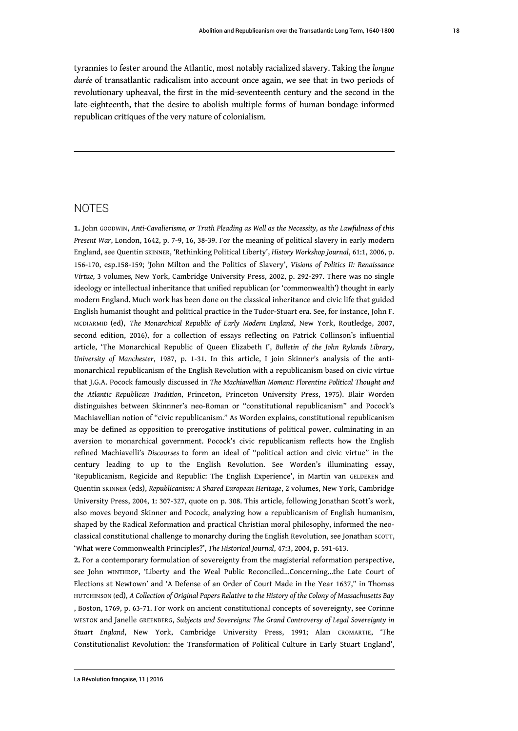tyrannies to fester around the Atlantic, most notably racialized slavery. Taking the *longue durée* of transatlantic radicalism into account once again, we see that in two periods of revolutionary upheaval, the first in the mid-seventeenth century and the second in the late-eighteenth, that the desire to abolish multiple forms of human bondage informed republican critiques of the very nature of colonialism.

#### **NOTES**

<span id="page-18-0"></span>**[1.](#page-2-0)** John GOODWIN, *Anti-Cavalierisme, or Truth Pleading as Well as the Necessity, as the Lawfulness of this Present War*, London, 1642, p. 7-9, 16, 38-39. For the meaning of political slavery in early modern England, see Quentin SKINNER, 'Rethinking Political Liberty', *History Workshop Journal*, 61:1, 2006, p. 156-170, esp.158-159; 'John Milton and the Politics of Slavery', *Visions of Politics II: Renaissance Virtue,* 3 volumes*,* New York, Cambridge University Press, 2002, p. 292-297. There was no single ideology or intellectual inheritance that unified republican (or 'commonwealth') thought in early modern England. Much work has been done on the classical inheritance and civic life that guided English humanist thought and political practice in the Tudor-Stuart era. See, for instance, John F. MCDIARMID (ed), *The Monarchical Republic of Early Modern England*, New York, Routledge, 2007, second edition, 2016), for a collection of essays reflecting on Patrick Collinson's influential article, 'The Monarchical Republic of Queen Elizabeth I', *Bulletin of the John Rylands Library, University of Manchester*, 1987, p. 1-31. In this article, I join Skinner's analysis of the antimonarchical republicanism of the English Revolution with a republicanism based on civic virtue that J.G.A. Pocock famously discussed in *The Machiavellian Moment: Florentine Political Thought and the Atlantic Republican Tradition*, Princeton, Princeton University Press, 1975). Blair Worden distinguishes between Skinnner's neo-Roman or "constitutional republicanism" and Pocock's Machiavellian notion of "civic republicanism." As Worden explains, constitutional republicanism may be defined as opposition to prerogative institutions of political power, culminating in an aversion to monarchical government. Pocock's civic republicanism reflects how the English refined Machiavelli's *Discourses* to form an ideal of "political action and civic virtue" in the century leading to up to the English Revolution. See Worden's illuminating essay, 'Republicanism, Regicide and Republic: The English Experience', in Martin van GELDEREN and Quentin SKINNER (eds), *Republicanism: A Shared European Heritage*, 2 volumes, New York, Cambridge University Press, 2004, 1: 307-327, quote on p. 308. This article, following Jonathan Scott's work, also moves beyond Skinner and Pocock, analyzing how a republicanism of English humanism, shaped by the Radical Reformation and practical Christian moral philosophy, informed the neoclassical constitutional challenge to monarchy during the English Revolution, see Jonathan SCOTT, 'What were Commonwealth Principles?', *The Historical Journal*, 47:3, 2004, p. 591-613.

<span id="page-18-1"></span>**[2.](#page-2-1)** For a contemporary formulation of sovereignty from the magisterial reformation perspective, see John WINTHROP, 'Liberty and the Weal Public Reconciled…Concerning…the Late Court of Elections at Newtown' and 'A Defense of an Order of Court Made in the Year 1637," in Thomas HUTCHINSON (ed), *A Collection of Original Papers Relative to the History of the Colony of Massachusetts Bay* , Boston, 1769, p. 63-71. For work on ancient constitutional concepts of sovereignty, see Corinne WESTON and Janelle GREENBERG, *Subjects and Sovereigns: The Grand Controversy of Legal Sovereignty in Stuart England*, New York, Cambridge University Press, 1991; Alan CROMARTIE, 'The Constitutionalist Revolution: the Transformation of Political Culture in Early Stuart England',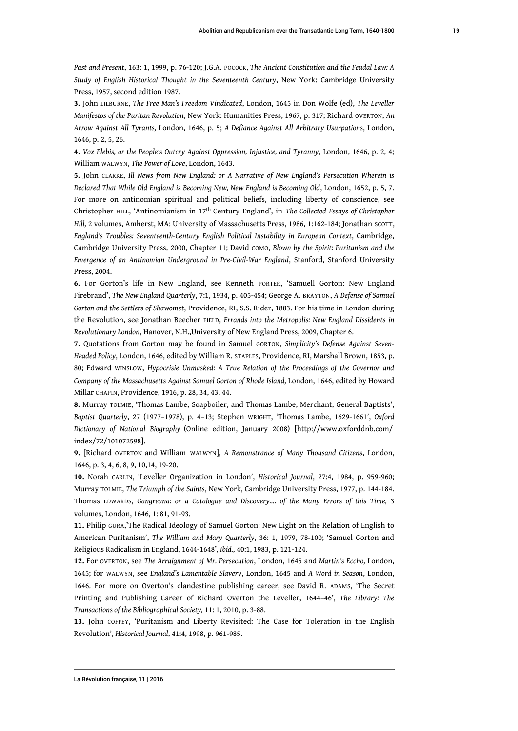*Past and Present*, 163: 1, 1999, p. 76-120; J.G.A. POCOCK, *The Ancient Constitution and the Feudal Law: A Study of English Historical Thought in the Seventeenth Century*, New York: Cambridge University Press, 1957, second edition 1987.

<span id="page-19-0"></span>**[3.](#page-2-2)** John LILBURNE, *The Free Man's Freedom Vindicated*, London, 1645 in Don Wolfe (ed), *The Leveller Manifestos of the Puritan Revolution*, New York: Humanities Press, 1967, p. 317; Richard OVERTON, *An Arrow Against All Tyrants,* London, 1646, p. 5; *A Defiance Against All Arbitrary Usurpations*, London, 1646, p. 2, 5, 26.

<span id="page-19-1"></span>**[4.](#page-3-0)** *Vox Plebis, or the People's Outcry Against Oppression, Injustice, and Tyranny*, London, 1646, p. 2, 4; William WALWYN, *The Power of Love*, London, 1643.

<span id="page-19-2"></span>**[5.](#page-3-1)** John CLARKE, *Ill News from New England: or A Narrative of New England's Persecution Wherein is Declared That While Old England is Becoming New, New England is Becoming Old*, London, 1652, p. 5, 7. For more on antinomian spiritual and political beliefs, including liberty of conscience, see Christopher HILL, 'Antinomianism in 17th Century England', in *The Collected Essays of Christopher* Hill, 2 volumes, Amherst, MA: University of Massachusetts Press, 1986, 1:162-184; Jonathan scorr, *England's Troubles: Seventeenth-Century English Political Instability in European Context*, Cambridge, Cambridge University Press, 2000, Chapter 11; David COMO, *Blown by the Spirit: Puritanism and the Emergence of an Antinomian Underground in Pre-Civil-War England*, Stanford, Stanford University Press, 2004.

<span id="page-19-3"></span>**[6.](#page-3-2)** For Gorton's life in New England, see Kenneth PORTER, 'Samuell Gorton: New England Firebrand', *The New England Quarterly*, 7:1, 1934, p. 405-454; George A. BRAYTON, *A Defense of Samuel Gorton and the Settlers of Shawomet*, Providence, RI, S.S. Rider, 1883. For his time in London during the Revolution, see Jonathan Beecher FIELD, *Errands into the Metropolis: New England Dissidents in Revolutionary London*, Hanover, N.H.,University of New England Press, 2009, Chapter 6.

<span id="page-19-4"></span>**[7.](#page-4-0)** Quotations from Gorton may be found in Samuel GORTON, *Simplicity's Defense Against Seven-Headed Policy*, London, 1646, edited by William R. STAPLES, Providence, RI, Marshall Brown, 1853, p. 80; Edward WINSLOW, *Hypocrisie Unmasked: A True Relation of the Proceedings of the Governor and Company of the Massachusetts Against Samuel Gorton of Rhode Island,* London, 1646, edited by Howard Millar CHAPIN, Providence, 1916, p. 28, 34, 43, 44.

<span id="page-19-5"></span>**[8.](#page-4-1)** Murray TOLMIE, 'Thomas Lambe, Soapboiler, and Thomas Lambe, Merchant, General Baptists', *Baptist Quarterly*, 27 (1977–1978), p. 4–13; Stephen WRIGHT, 'Thomas Lambe, 1629-1661', *Oxford Dictionary of National Biography* (Online edition, January 2008) [http://www.oxforddnb.com/ index/72/101072598].

<span id="page-19-6"></span>**[9.](#page-4-2)** [Richard OVERTON and William WALWYN], *A Remonstrance of Many Thousand Citizens*, London, 1646, p. 3, 4, 6, 8, 9, 10,14, 19-20.

<span id="page-19-7"></span>**[10.](#page-5-0)** Norah CARLIN, 'Leveller Organization in London', *Historical Journal*, 27:4, 1984, p. 959-960; Murray TOLMIE, *The Triumph of the Saints*, New York, Cambridge University Press, 1977, p. 144-184. Thomas EDWARDS, *Gangreana: or a Catalogue and Discovery…. of the Many Errors of this Time,* 3 volumes, London, 1646, 1: 81, 91-93.

<span id="page-19-8"></span>**[11.](#page-5-1)** Philip GURA,'The Radical Ideology of Samuel Gorton: New Light on the Relation of English to American Puritanism', *The William and Mary Quarterly*, 36: 1, 1979, 78-100; 'Samuel Gorton and Religious Radicalism in England, 1644-1648'*, Ibid.,* 40:1, 1983, p. 121-124.

<span id="page-19-9"></span>**[12.](#page-5-2)** For OVERTON, see *The Arraignment of Mr. Persecution*, London, 1645 and *Martin's Eccho,* London, 1645; for WALWYN, see *England's Lamentable Slavery*, London, 1645 and *A Word in Season*, London, 1646. For more on Overton's clandestine publishing career, see David R. ADAMS, 'The Secret Printing and Publishing Career of Richard Overton the Leveller, 1644–46', *The Library: The Transactions of the Bibliographical Society,* 11: 1, 2010, p. 3-88.

<span id="page-19-10"></span>**[13.](#page-5-3)** John COFFEY, 'Puritanism and Liberty Revisited: The Case for Toleration in the English Revolution', *Historical Journal*, 41:4, 1998, p. 961-985.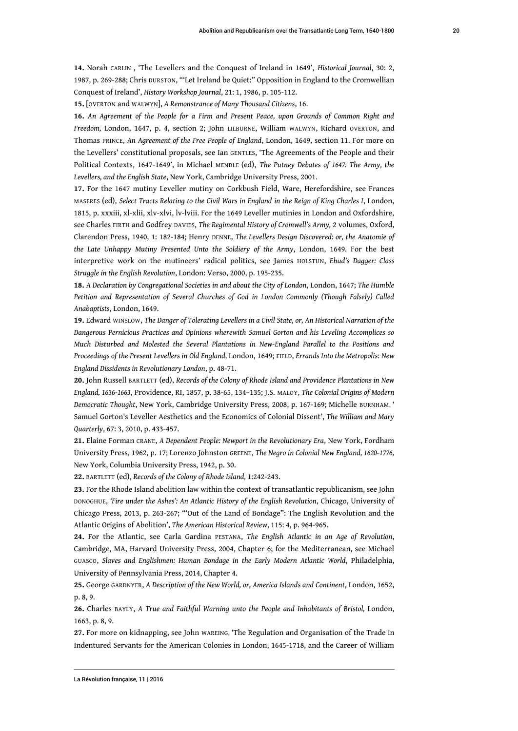<span id="page-20-0"></span>**[14.](#page-5-4)** Norah CARLIN , 'The Levellers and the Conquest of Ireland in 1649', *Historical Journal*, 30: 2, 1987, p. 269-288; Chris DURSTON, "'Let Ireland be Quiet:" Opposition in England to the Cromwellian Conquest of Ireland', *History Workshop Journal*, 21: 1, 1986, p. 105-112.

<span id="page-20-1"></span>**[15.](#page-5-5)** [OVERTON and WALWYN], *A Remonstrance of Many Thousand Citizens*, 16.

<span id="page-20-2"></span>**[16.](#page-6-0)** *An Agreement of the People for a Firm and Present Peace, upon Grounds of Common Right and Freedom,* London, 1647, p. 4, section 2; John LILBURNE, William WALWYN, Richard OVERTON, and Thomas PRINCE, *An Agreement of the Free People of England*, London, 1649, section 11. For more on the Levellers' constitutional proposals, see Ian GENTLES, 'The Agreements of the People and their Political Contexts, 1647-1649', in Michael MENDLE (ed), *The Putney Debates of 1647: The Army, the Levellers, and the English State*, New York, Cambridge University Press, 2001.

<span id="page-20-3"></span>**[17.](#page-6-1)** For the 1647 mutiny Leveller mutiny on Corkbush Field, Ware, Herefordshire, see Frances MASERES (ed), *Select Tracts Relating to the Civil Wars in England in the Reign of King Charles I*, London, 1815, p. xxxiii, xl-xlii, xlv-xlvi, lv-lviii. For the 1649 Leveller mutinies in London and Oxfordshire, see Charles FIRTH and Godfrey DAVIES, *The Regimental History of Cromwell's Army,* 2 volumes, Oxford, Clarendon Press, 1940, 1: 182-184; Henry DENNE, *The Levellers Design Discovered: or, the Anatomie of the Late Unhappy Mutiny Presented Unto the Soldiery of the Army*, London, 1649. For the best interpretive work on the mutineers' radical politics, see James HOLSTUN, *Ehud's Dagger: Class Struggle in the English Revolution*, London: Verso, 2000, p. 195-235.

<span id="page-20-4"></span>**[18.](#page-6-2)** *A Declaration by Congregational Societies in and about the City of London*, London, 1647; *The Humble Petition and Representation of Several Churches of God in London Commonly (Though Falsely) Called Anabaptists*, London, 1649.

<span id="page-20-5"></span>**[19.](#page-6-3)** Edward WINSLOW, *The Danger of Tolerating Levellers in a Civil State, or, An Historical Narration of the Dangerous Pernicious Practices and Opinions wherewith Samuel Gorton and his Leveling Accomplices so Much Disturbed and Molested the Several Plantations in New-England Parallel to the Positions and Proceedings of the Present Levellers in Old England,* London, 1649; FIELD, *Errands Into the Metropolis*: *New England Dissidents in Revolutionary London*, p. 48-71.

<span id="page-20-6"></span>**[20.](#page-6-4)** John Russell BARTLETT (ed), *Records of the Colony of Rhode Island and Providence Plantations in New England, 1636-1663*, Providence, RI, 1857, p. 38-65, 134–135; J.S. MALOY, *The Colonial Origins of Modern Democratic Thought*, New York, Cambridge University Press, 2008, p. 167-169; Michelle BURNHAM, ' [Samuel Gorton's Leveller Aesthetics and the Economics of Colonial Dissent'](http://www.jstor.org.flagship.luc.edu/stable/10.5309/00435597.67.3.433?&Search=yes&searchText=antinomian&list=hide&searchUri=%2Faction%2FdoBasicResults%3Fla%3D%26wc%3Don%26acc%3Don%26gw%3Djtx%26Query%3Dantinomian%26sbq%3Dantinomian%26prq%3Dbozeman%26si%3D1%26jtxsi%3D1%26jcpsi%3D1%26artsi%3D1%26so%3Dnew%26hp%3D25%26Go.x%3D10%26Go.y%3D5&prevSearch=&item=6&ttl=2944&returnArticleService=showFullText), *The William and Mary Quarterly*, 67: 3, 2010, p. 433-457.

<span id="page-20-7"></span>**[21.](#page-6-5)** Elaine Forman CRANE, *A Dependent People: Newport in the Revolutionary Era*, New York, Fordham University Press, 1962, p. 17; Lorenzo Johnston GREENE, *The Negro in Colonial New England, 1620-1776,* New York, Columbia University Press, 1942, p. 30.

<span id="page-20-8"></span>**[22.](#page-6-6)** BARTLETT (ed), *Records of the Colony of Rhode Island,* 1:242-243.

<span id="page-20-9"></span>**[23.](#page-6-7)** For the Rhode Island abolition law within the context of transatlantic republicanism, see John DONOGHUE, *'Fire under the Ashes': An Atlantic History of the English Revolution*, Chicago, University of Chicago Press, 2013, p. 263-267; "'Out of the Land of Bondage": The English Revolution and the Atlantic Origins of Abolition', *The American Historical Review*, 115: 4, p. 964-965.

<span id="page-20-10"></span>**[24.](#page-7-0)** For the Atlantic, see Carla Gardina PESTANA, *The English Atlantic in an Age of Revolution*, Cambridge, MA, Harvard University Press, 2004, Chapter 6; for the Mediterranean, see Michael GUASCO, *Slaves and Englishmen: Human Bondage in the Early Modern Atlantic World*, Philadelphia, University of Pennsylvania Press, 2014, Chapter 4.

<span id="page-20-11"></span>**[25.](#page-7-1)** George GARDNYER, *A Description of the New World, or, America Islands and Continent*, London, 1652, p. 8, 9.

<span id="page-20-12"></span>**[26.](#page-7-2)** Charles BAYLY, *A True and Faithful Warning unto the People and Inhabitants of Bristol,* London, 1663, p. 8, 9.

<span id="page-20-13"></span>**[27.](#page-7-3)** For more on kidnapping, see John WAREING, 'The Regulation and Organisation of the Trade in Indentured Servants for the American Colonies in London, 1645-1718, and the Career of William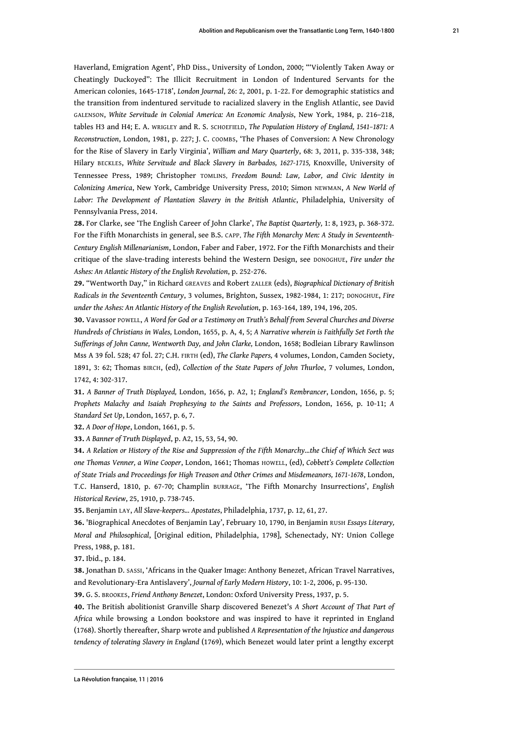Haverland, Emigration Agent', PhD Diss., University of London, 2000; "'Violently Taken Away or Cheatingly Duckoyed": The Illicit Recruitment in London of Indentured Servants for the American colonies, 1645-1718', *London Journal*, 26: 2, 2001, p. 1-22. For demographic statistics and the transition from indentured servitude to racialized slavery in the English Atlantic, see David GALENSON, *White Servitude in Colonial America: An Economic Analysis*, New York, 1984, p. 216–218, tables H3 and H4; E. A. WRIGLEY and R. S. SCHOEFIELD, *The Population History of England, 1541–1871: A Reconstruction*, London, 1981, p. 227; J. C. COOMBS, 'The Phases of Conversion: A New Chronology for the Rise of Slavery in Early Virginia', *William and Mary Quarterly*, 68: 3, 2011, p. 335-338, 348; Hilary BECKLES, *White Servitude and Black Slavery in Barbados, 1627-1715,* Knoxville, University of Tennessee Press, 1989; Christopher TOMLINS, *Freedom Bound: Law, Labor, and Civic Identity in Colonizing America*, New York, Cambridge University Press, 2010; Simon NEWMAN, *A New World of Labor: The Development of Plantation Slavery in the British Atlantic*, Philadelphia, University of Pennsylvania Press, 2014.

<span id="page-21-0"></span>**[28.](#page-7-4)** For Clarke, see 'The English Career of John Clarke', *The Baptist Quarterly,* 1: 8, 1923, p. 368-372. For the Fifth Monarchists in general, see B.S. CAPP, *The Fifth Monarchy Men: A Study in Seventeenth-Century English Millenarianism*, London, Faber and Faber, 1972. For the Fifth Monarchists and their critique of the slave-trading interests behind the Western Design, see DONOGHUE, *Fire under the Ashes: An Atlantic History of the English Revolution*, p. 252-276.

<span id="page-21-1"></span>**[29.](#page-7-5)** "Wentworth Day," in Richard GREAVES and Robert ZALLER (eds), *Biographical Dictionary of British Radicals in the Seventeenth Century*, 3 volumes, Brighton, Sussex, 1982-1984, 1: 217; DONOGHUE, *Fire under the Ashes: An Atlantic History of the English Revolution*, p. 163-164, 189, 194, 196, 205.

<span id="page-21-2"></span>**[30.](#page-7-6)** Vavassor POWELL, *A Word for God or a Testimony on Truth's Behalf from Several Churches and Diverse Hundreds of Christians in Wales,* London, 1655, p. A, 4, 5; *A Narrative wherein is Faithfully Set Forth the Sufferings of John Canne, Wentworth Day, and John Clarke,* London, 1658; Bodleian Library Rawlinson Mss A 39 fol. 528; 47 fol. 27; C.H. FIRTH (ed), *The Clarke Papers,* 4 volumes, London, Camden Society, 1891, 3: 62; Thomas BIRCH, (ed), *Collection of the State Papers of John Thurloe*, 7 volumes, London, 1742, 4: 302-317.

<span id="page-21-3"></span>**[31.](#page-8-0)** *A Banner of Truth Displayed,* London, 1656, p. A2, 1; *England's Rembrancer*, London, 1656, p. 5; *Prophets Malachy and Isaiah Prophesying to the Saints and Professors*, London, 1656, p. 10-11; *A Standard Set Up*, London, 1657, p. 6, 7.

<span id="page-21-4"></span>**[32.](#page-8-1)** *A Door of Hope*, London, 1661, p. 5.

<span id="page-21-5"></span>**[33.](#page-8-2)** *A Banner of Truth Displayed*, p. A2, 15, 53, 54, 90.

<span id="page-21-6"></span>**[34.](#page-8-3)** *A Relation or History of the Rise and Suppression of the Fifth Monarchy…the Chief of Which Sect was one Thomas Venner, a Wine Cooper*, London, 1661; Thomas HOWELL, (ed), *Cobbett's Complete Collection of State Trials and Proceedings for High Treason and Other Crimes and Misdemeanors, 1671-1678*, London, T.C. Hanserd, 1810, p. 67-70; Champlin BURRAGE, 'The Fifth Monarchy Insurrections', *English Historical Review*, 25, 1910, p. 738-745.

<span id="page-21-7"></span>**[35.](#page-8-4)** Benjamin LAY, *All Slave-keepers... Apostates*, Philadelphia, 1737, p. 12, 61, 27.

<span id="page-21-8"></span>**[36.](#page-8-5)** 'Biographical Anecdotes of Benjamin Lay', February 10, 1790, in Benjamin RUSH *Essays Literary, Moral and Philosophical*, [Original edition, Philadelphia, 1798], Schenectady, NY: Union College Press, 1988, p. 181.

<span id="page-21-9"></span>**[37.](#page-8-6)** Ibid., p. 184.

<span id="page-21-10"></span>**[38.](#page-8-7)** Jonathan D. SASSI, 'Africans in the Quaker Image: Anthony Benezet, African Travel Narratives, and Revolutionary-Era Antislavery', *Journal of Early Modern History*, 10: 1-2, 2006, p. 95-130.

<span id="page-21-11"></span>**[39.](#page-9-0)** G. S. BROOKES, *Friend Anthony Benezet*, London: Oxford University Press, 1937, p. 5.

<span id="page-21-12"></span>**[40.](#page-9-1)** The British abolitionist Granville Sharp discovered Benezet's *A Short Account of That Part of Africa* while browsing a London bookstore and was inspired to have it reprinted in England (1768). Shortly thereafter, Sharp wrote and published *A Representation of the Injustice and dangerous tendency of tolerating Slavery in England* (1769), which Benezet would later print a lengthy excerpt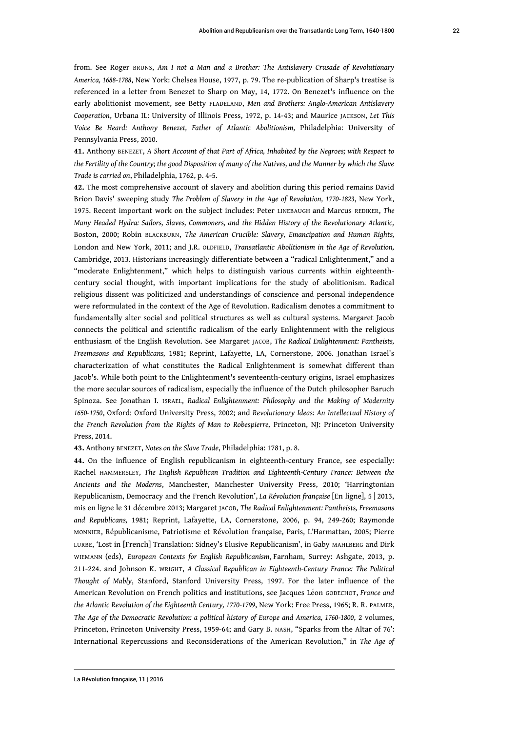from. See Roger BRUNS, *Am I not a Man and a Brother: The Antislavery Crusade of Revolutionary America, 1688-1788*, New York: Chelsea House, 1977, p. 79. The re-publication of Sharp's treatise is referenced in a letter from Benezet to Sharp on May, 14, 1772. On Benezet's influence on the early abolitionist movement, see Betty FLADELAND, *Men and Brothers: Anglo-American Antislavery Cooperation*, Urbana IL: University of Illinois Press, 1972, p. 14-43; and Maurice JACKSON, *Let This Voice Be Heard: Anthony Benezet, Father of Atlantic Abolitionism,* Philadelphia: University of Pennsylvania Press, 2010.

<span id="page-22-0"></span>**[41.](#page-9-2)** Anthony BENEZET, *A Short Account of that Part of Africa, Inhabited by the Negroes; with Respect to the Fertility of the Country; the good Disposition of many of the Natives, and the Manner by which the Slave Trade is carried on*, Philadelphia, 1762, p. 4-5.

<span id="page-22-1"></span>**[42.](#page-9-3)** The most comprehensive account of slavery and abolition during this period remains David Brion Davis' sweeping study *The Problem of Slavery in the Age of Revolution, 1770-1823*, New York, 1975. Recent important work on the subject includes: Peter LINEBAUGH and Marcus REDIKER, *The Many Headed Hydra: Sailors, Slaves, Commoners, and the Hidden History of the Revolutionary Atlantic,* Boston, 2000; Robin BLACKBURN, *The American Crucible: Slavery, Emancipation and Human Rights,* London and New York, 2011; and J.R. OLDFIELD, *Transatlantic Abolitionism in the Age of Revolution,* Cambridge, 2013. Historians increasingly differentiate between a "radical Enlightenment," and a "moderate Enlightenment," which helps to distinguish various currents within eighteenthcentury social thought, with important implications for the study of abolitionism. Radical religious dissent was politicized and understandings of conscience and personal independence were reformulated in the context of the Age of Revolution. Radicalism denotes a commitment to fundamentally alter social and political structures as well as cultural systems. Margaret Jacob connects the political and scientific radicalism of the early Enlightenment with the religious enthusiasm of the English Revolution. See Margaret JACOB, *The Radical Enlightenment: Pantheists, Freemasons and Republicans,* 1981; Reprint, Lafayette, LA, Cornerstone, 2006. Jonathan Israel's characterization of what constitutes the Radical Enlightenment is somewhat different than Jacob's. While both point to the Enlightenment's seventeenth-century origins, Israel emphasizes the more secular sources of radicalism, especially the influence of the Dutch philosopher Baruch Spinoza. See Jonathan I. ISRAEL, *Radical Enlightenment: Philosophy and the Making of Modernity 1650-1750*, Oxford: Oxford University Press, 2002; and *Revolutionary Ideas: An Intellectual History of the French Revolution from the Rights of Man to Robespierre,* Princeton, NJ: Princeton University Press, 2014.

<span id="page-22-2"></span>**[43.](#page-9-4)** Anthony BENEZET, *Notes on the Slave Trade*, Philadelphia: 1781, p. 8.

<span id="page-22-3"></span>**[44.](#page-9-5)** On the influence of English republicanism in eighteenth-century France, see especially: Rachel HAMMERSLEY*, The English Republican Tradition and Eighteenth-Century France: Between the Ancients and the Moderns*, Manchester, Manchester University Press, 2010; 'Harringtonian Republicanism, Democracy and the French Revolution', *La Révolution française* [En ligne], 5 | 2013, mis en ligne le 31 décembre 2013; Margaret JACOB, *The Radical Enlightenment: Pantheists, Freemasons and Republicans,* 1981; Reprint, Lafayette, LA, Cornerstone, 2006, p. 94, 249-260; Raymonde MONNIER, Républicanisme, Patriotisme et Révolution française, Paris, L'Harmattan, 2005; Pierre LURBE, 'Lost in [French] Translation: Sidney's Elusive Republicanism', in Gaby MAHLBERG and Dirk WIEMANN (eds), *European Contexts for English Republicanism*, Farnham, Surrey: Ashgate, 2013, p. 211-224. and Johnson K. WRIGHT, *A Classical Republican in Eighteenth-Century France: The Political Thought of Mably*, Stanford, Stanford University Press, 1997. For the later influence of the American Revolution on French politics and institutions, see Jacques Léon GODECHOT, *France and the Atlantic Revolution of the Eighteenth Century, 1770-1799*, New York: Free Press, 1965; R. R. PALMER, *The Age of the Democratic Revolution: a political history of Europe and America, 1760-1800*, 2 volumes, Princeton, Princeton University Press, 1959-64; and Gary B. NASH, "Sparks from the Altar of 76': International Repercussions and Reconsiderations of the American Revolution," in *The Age of*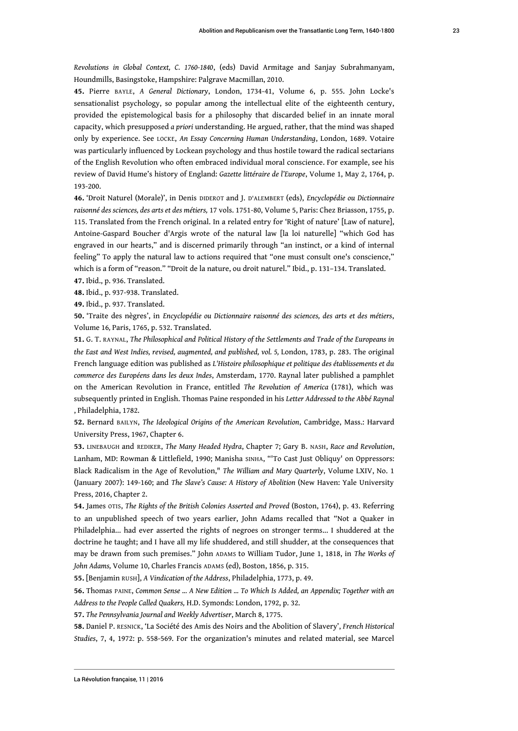Houndmills, Basingstoke, Hampshire: Palgrave Macmillan, 2010.

<span id="page-23-0"></span>**[45.](#page-9-6)** Pierre BAYLE, *A General Dictionary*, London, 1734-41, Volume 6, p. 555. John Locke's sensationalist psychology, so popular among the intellectual elite of the eighteenth century, provided the epistemological basis for a philosophy that discarded belief in an innate moral capacity, which presupposed *a priori* understanding. He argued, rather, that the mind was shaped only by experience. See LOCKE, *An Essay Concerning Human Understanding*, London, 1689. Votaire was particularly influenced by Lockean psychology and thus hostile toward the radical sectarians of the English Revolution who often embraced individual moral conscience. For example, see his review of David Hume's history of England: *Gazette littéraire de l'Europe*, Volume 1, May 2, 1764, p. 193-200.

<span id="page-23-1"></span>**[46.](#page-10-0)** 'Droit Naturel (Morale)', in Denis DIDEROT and J. D'ALEMBERT (eds), *Encyclopédie ou Dictionnaire raisonné des sciences, des arts et des métiers,* 17 vols. 1751-80, Volume 5, Paris: Chez Briasson, 1755, p. 115. Translated from the French original. In a related entry for 'Right of nature' [Law of nature], Antoine-Gaspard Boucher d'Argis wrote of the natural law [la loi naturelle] "which God has engraved in our hearts," and is discerned primarily through "an instinct, or a kind of internal feeling" To apply the natural law to actions required that "one must consult one's conscience," which is a form of "reason." "Droit de la nature, ou droit naturel." Ibid., p. 131–134. Translated.

<span id="page-23-2"></span>**[47.](#page-10-1)** Ibid., p. 936. Translated.

<span id="page-23-3"></span>**[48.](#page-10-2)** Ibid., p. 937-938. Translated.

<span id="page-23-4"></span>**[49.](#page-10-3)** Ibid., p. 937. Translated.

<span id="page-23-5"></span>**[50.](#page-10-4)** 'Traite des nègres', in *Encyclopédie ou Dictionnaire raisonné des sciences, des arts et des métiers*, Volume 16*,* Paris, 1765, p. 532. Translated.

<span id="page-23-6"></span>**[51.](#page-10-5)** G. T. RAYNAL, *The Philosophical and Political History of the Settlements and Trade of the Europeans in the East and West Indies, revised, augmented, and published, vol. 5,* London, 1783, p. 283. The original French language edition was published as *L'Histoire philosophique et politique des établissements et du commerce des Européens dans les deux Indes*, Amsterdam, 1770. Raynal later published a pamphlet on the American Revolution in France, entitled *The Revolution of America* (1781), which was subsequently printed in English. Thomas Paine responded in his *Letter Addressed to the Abbé Raynal* , Philadelphia, 1782.

<span id="page-23-7"></span>**[52.](#page-10-6)** Bernard BAILYN, *The Ideological Origins of the American Revolution*, Cambridge, Mass.: Harvard University Press, 1967, Chapter 6.

<span id="page-23-8"></span>**[53.](#page-11-0)** LINEBAUGH and REDIKER, *The Many Headed Hydra*, Chapter 7; Gary B. NASH, *Race and Revolution*, Lanham, MD: Rowman & Littlefield, 1990; Manisha SINHA, "'To Cast Just Obliquy' on Oppressors: Black Radicalism in the Age of Revolution," *The William and Mary Quarterly*, Volume LXIV, No. 1 (January 2007): 149-160; and *The Slave's Cause: A History of Abolition* (New Haven: Yale University Press, 2016, Chapter 2.

<span id="page-23-9"></span>**[54.](#page-11-1)** James OTIS, *The Rights of the British Colonies Asserted and Proved* (Boston, 1764), p. 43. Referring to an unpublished speech of two years earlier, John Adams recalled that "Not a Quaker in Philadelphia... had ever asserted the rights of negroes on stronger terms... I shuddered at the doctrine he taught; and I have all my life shuddered, and still shudder, at the consequences that may be drawn from such premises." John ADAMS to William Tudor, June 1, 1818, in *The Works of John Adams,* Volume 10, Charles Francis ADAMS (ed), Boston, 1856, p. 315.

<span id="page-23-10"></span>**[55.](#page-11-2)** [Benjamin RUSH], *A Vindication of the Address*, Philadelphia, 1773, p. 49.

<span id="page-23-11"></span>**[56.](#page-11-3)** Thomas PAINE, *Common Sense ... A New Edition ... To Which Is Added, an Appendix; Together with an Address to the People Called Quakers,* H.D. Symonds: London, 1792, p. 32.

<span id="page-23-12"></span>**[57.](#page-11-4)** *The Pennsylvania Journal and Weekly Advertiser*, March 8, 1775.

<span id="page-23-13"></span>**[58.](#page-12-0)** Daniel P. RESNICK, 'La Société des Amis des Noirs and the Abolition of Slavery', *French Historical Studies*, 7, 4, 1972: p. 558-569. For the organization's minutes and related material, see Marcel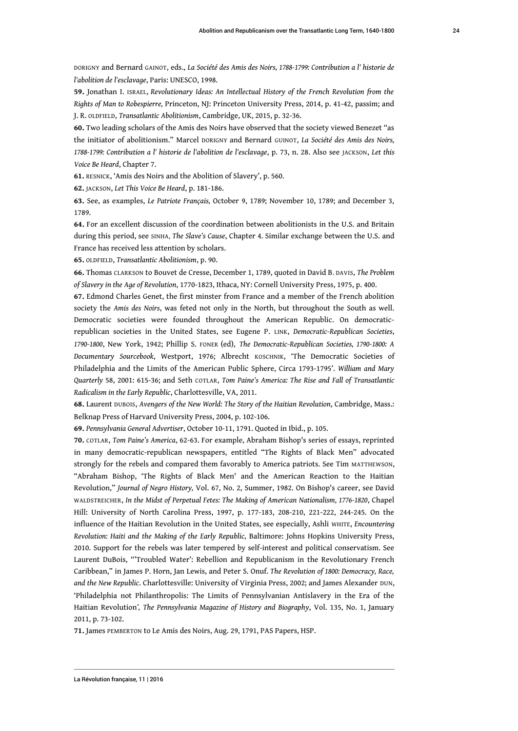DORIGNY and Bernard GAINOT, eds., *La Société des Amis des Noirs, 1788-1799: Contribution a l' historie de l'abolition de l'esclavage*, Paris: UNESCO, 1998.

<span id="page-24-0"></span>**[59.](#page-12-1)** Jonathan I. ISRAEL, *Revolutionary Ideas: An Intellectual History of the French Revolution from the Rights of Man to Robespierre,* Princeton, NJ: Princeton University Press, 2014, p. 41-42, passim; and J. R. OLDFIELD, *Transatlantic Abolitionism*, Cambridge, UK, 2015, p. 32-36.

<span id="page-24-1"></span>**[60.](#page-12-2)** Two leading scholars of the Amis des Noirs have observed that the society viewed Benezet "as the initiator of abolitionism." Marcel DORIGNY and Bernard GUINOT, *La Société des Amis des Noirs, 1788-1799: Contribution a l' historie de l'abolition de l'esclavage*, p. 73, n. 28. Also see JACKSON, *Let this Voice Be Heard*, Chapter 7.

<span id="page-24-2"></span>**[61.](#page-12-3)** RESNICK, 'Amis des Noirs and the Abolition of Slavery', p. 560.

<span id="page-24-3"></span>**[62.](#page-12-4)** JACKSON, *Let This Voice Be Heard*, p. 181-186.

<span id="page-24-4"></span>**[63.](#page-12-5)** See, as examples, *Le Patriote Français,* October 9, 1789; November 10, 1789; and December 3, 1789.

<span id="page-24-5"></span>**[64.](#page-12-6)** For an excellent discussion of the coordination between abolitionists in the U.S. and Britain during this period, see SINHA, *The Slave's Cause*, Chapter 4. Similar exchange between the U.S. and France has received less attention by scholars.

<span id="page-24-6"></span>**[65.](#page-12-7)** OLDFIELD, *Transatlantic Abolitionism*, p. 90.

<span id="page-24-7"></span>**[66.](#page-12-8)** Thomas CLARKSON to Bouvet de Cresse, December 1, 1789, quoted in David B. DAVIS, *The Problem of Slavery in the Age of Revolution*, 1770-1823, Ithaca, NY: Cornell University Press, 1975, p. 400.

<span id="page-24-8"></span>**[67.](#page-12-9)** Edmond Charles Genet, the first minster from France and a member of the French abolition society the *Amis des Noirs*, was feted not only in the North, but throughout the South as well. Democratic societies were founded throughout the American Republic. On democraticrepublican societies in the United States, see Eugene P. LINK, *Democratic-Republican Societies*, *1790-1800*, New York, 1942; Phillip S. FONER (ed), *The Democratic-Republican Societies, 1790-1800: A Documentary Sourcebook*, Westport, 1976; Albrecht KOSCHNIK, 'The Democratic Societies of Philadelphia and the Limits of the American Public Sphere, Circa 1793-1795'. *William and Mary Quarterly* 58, 2001: 615-36; and Seth COTLAR, *Tom Paine's America: The Rise and Fall of Transatlantic Radicalism in the Early Republic*, Charlottesville, VA, 2011.

<span id="page-24-9"></span>**[68.](#page-12-10)** Laurent DUBOIS, *Avengers of the New World: The Story of the Haitian Revolution*, Cambridge, Mass.: Belknap Press of Harvard University Press, 2004, p. 102-106.

<span id="page-24-10"></span>**[69.](#page-12-11)** *Pennsylvania General Advertiser*, October 10-11, 1791. Quoted in Ibid., p. 105.

<span id="page-24-11"></span>**[70.](#page-12-12)** COTLAR, *Tom Paine's America*, 62-63. For example, Abraham Bishop's series of essays, reprinted in many democratic-republican newspapers, entitled "The Rights of Black Men" advocated strongly for the rebels and compared them favorably to America patriots. See Tim MATTHEWSON, "Abraham Bishop, 'The Rights of Black Men' and the American Reaction to the Haitian Revolution," *Journal of Negro History,* Vol. 67, No. 2, Summer, 1982. On Bishop's career, see David WALDSTREICHER, *In the Midst of Perpetual Fetes: The Making of American Nationalism, 1776-1820*, Chapel Hill: University of North Carolina Press, 1997, p. 177-183, 208-210, 221-222, 244-245. On the influence of the Haitian Revolution in the United States, see especially, Ashli WHITE, *Encountering Revolution: Haiti and the Making of the Early Republic,* Baltimore: Johns Hopkins University Press, 2010. Support for the rebels was later tempered by self-interest and political conservatism. See Laurent DuBois, "'Troubled Water': Rebellion and Republicanism in the Revolutionary French Caribbean," in James P. Horn, Jan Lewis, and Peter S. Onuf. *The Revolution of 1800: Democracy, Race, and the New Republic*. Charlottesville: University of Virginia Press, 2002; and James Alexander DUN, 'Philadelphia not Philanthropolis: The Limits of Pennsylvanian Antislavery in the Era of the Haitian Revolution*', The Pennsylvania Magazine of History and Biography*, Vol. 135, No. 1, January 2011, p. 73-102.

<span id="page-24-12"></span>**[71.](#page-12-13)** James PEMBERTON to Le Amis des Noirs, Aug. 29, 1791, PAS Papers, HSP.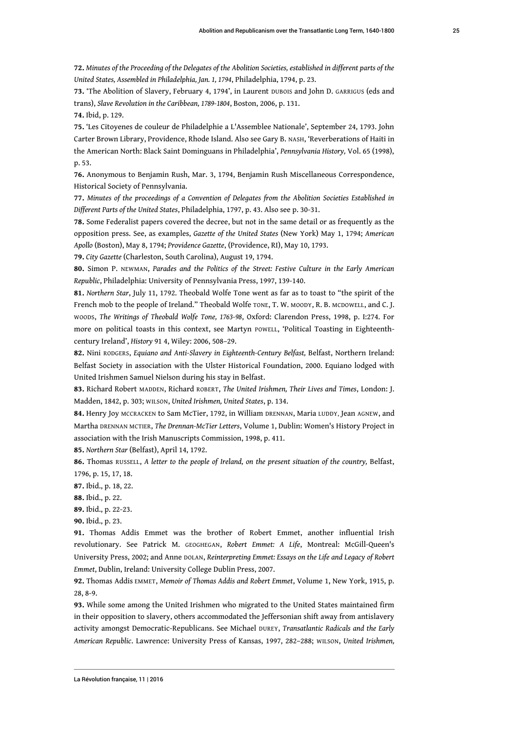<span id="page-25-0"></span>**[72.](#page-12-14)** *Minutes of the Proceeding of the Delegates of the Abolition Societies, established in different parts of the United States, Assembled in Philadelphia, Jan. 1, 1794*, Philadelphia, 1794, p. 23.

<span id="page-25-1"></span>**[73.](#page-13-0)** 'The Abolition of Slavery, February 4, 1794', in Laurent DUBOIS and John D. GARRIGUS (eds and trans), *Slave Revolution in the Caribbean, 1789-1804*, Boston, 2006, p. 131.

<span id="page-25-2"></span>**[74.](#page-13-1)** Ibid, p. 129.

<span id="page-25-3"></span>**[75.](#page-13-2)** 'Les Citoyenes de couleur de Philadelphie a L'Assemblee Nationale', September 24, 1793. John Carter Brown Library, Providence, Rhode Island. Also see Gary B. NASH, 'Reverberations of Haiti in the American North: Black Saint Dominguans in Philadelphia', *Pennsylvania History,* Vol. 65 (1998), p. 53.

<span id="page-25-4"></span>**[76.](#page-13-3)** Anonymous to Benjamin Rush, Mar. 3, 1794, Benjamin Rush Miscellaneous Correspondence, Historical Society of Pennsylvania.

<span id="page-25-5"></span>**[77.](#page-13-4)** *Minutes of the proceedings of a Convention of Delegates from the Abolition Societies Established in Different Parts of the United States*, Philadelphia, 1797, p. 43. Also see p. 30-31.

<span id="page-25-6"></span>**[78.](#page-13-5)** Some Federalist papers covered the decree, but not in the same detail or as frequently as the opposition press. See, as examples, *Gazette of the United States* (New York) May 1, 1794; *American Apollo* (Boston), May 8, 1794; *Providence Gazette*, (Providence, RI), May 10, 1793.

<span id="page-25-7"></span>**[79.](#page-13-6)** *City Gazette* (Charleston, South Carolina), August 19, 1794.

<span id="page-25-8"></span>**[80.](#page-13-7)** Simon P. NEWMAN, *Parades and the Politics of the Street: Festive Culture in the Early American Republic*, Philadelphia: University of Pennsylvania Press, 1997, 139-140.

<span id="page-25-9"></span>**[81.](#page-13-8)** *Northern Star*, July 11, 1792. Theobald Wolfe Tone went as far as to toast to "the spirit of the French mob to the people of Ireland." Theobald Wolfe TONE, T. W. MOODY, R. B. MCDOWELL, and C. J. WOODS, *The Writings of Theobald Wolfe Tone, 1763-98*, Oxford: Clarendon Press, 1998, p. I:274. For more on political toasts in this context, see Martyn POWELL, 'Political Toasting in Eighteenthcentury Ireland', *History* 91 4, Wiley: 2006, 508–29.

<span id="page-25-10"></span>**[82.](#page-13-9)** Nini RODGERS, *Equiano and Anti-Slavery in Eighteenth-Century Belfast,* Belfast, Northern Ireland: Belfast Society in association with the Ulster Historical Foundation, 2000. Equiano lodged with United Irishmen Samuel Nielson during his stay in Belfast.

<span id="page-25-11"></span>**[83.](#page-14-0)** Richard Robert MADDEN, Richard ROBERT, *The United Irishmen, Their Lives and Times*, London: J. Madden, 1842, p. 303; WILSON, *United Irishmen, United States*, p. 134.

<span id="page-25-12"></span>**[84.](#page-14-1)** Henry Joy MCCRACKEN to Sam McTier, 1792, in William DRENNAN, Maria LUDDY, Jean AGNEW, and Martha DRENNAN MCTIER, *The Drennan-McTier Letters*, Volume 1, Dublin: Women's History Project in association with the Irish Manuscripts Commission, 1998, p. 411.

<span id="page-25-13"></span>**[85.](#page-14-2)** *Northern Star* (Belfast), April 14, 1792.

<span id="page-25-14"></span>**[86.](#page-14-3)** Thomas RUSSELL, *A letter to the people of Ireland, on the present situation of the country,* Belfast, 1796, p. 15, 17, 18.

<span id="page-25-15"></span>**[87.](#page-14-4)** Ibid., p. 18, 22.

<span id="page-25-16"></span>**[88.](#page-14-5)** Ibid., p. 22.

<span id="page-25-17"></span>**[89.](#page-14-6)** Ibid., p. 22-23.

<span id="page-25-18"></span>**[90.](#page-15-0)** Ibid., p. 23.

<span id="page-25-19"></span>**[91.](#page-15-1)** Thomas Addis Emmet was the brother of Robert Emmet, another influential Irish revolutionary. See Patrick M. GEOGHEGAN, *Robert Emmet: A Life*, Montreal: McGill-Queen's University Press, 2002; and Anne DOLAN, *Reinterpreting Emmet: Essays on the Life and Legacy of Robert Emmet*, Dublin, Ireland: University College Dublin Press, 2007.

<span id="page-25-20"></span>**[92.](#page-15-2)** Thomas Addis EMMET, *Memoir of Thomas Addis and Robert Emmet*, Volume 1, New York, 1915, p. 28, 8-9.

<span id="page-25-21"></span>**[93.](#page-15-3)** While some among the United Irishmen who migrated to the United States maintained firm in their opposition to slavery, others accommodated the Jeffersonian shift away from antislavery activity amongst Democratic-Republicans. See Michael DUREY, *Transatlantic Radicals and the Early American Republic*. Lawrence: University Press of Kansas, 1997, 282–288; WILSON, *United Irishmen,*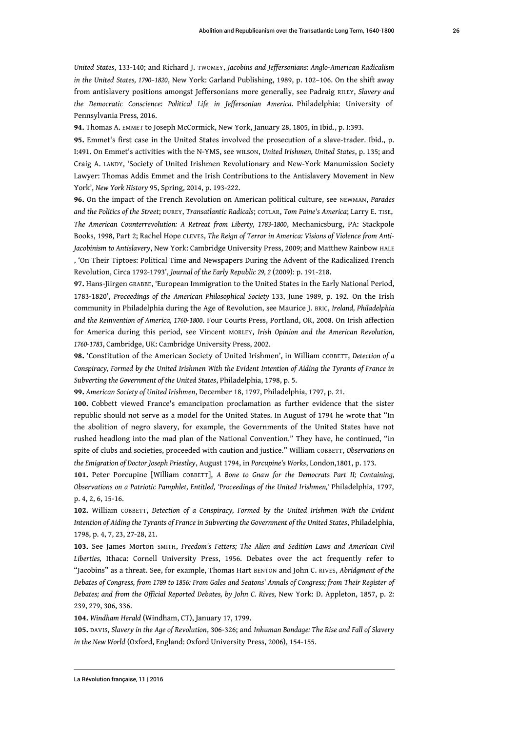*United States*, 133-140; and Richard J. TWOMEY, *Jacobins and Jeffersonians: Anglo-American Radicalism in the United States, 1790–1820*, New York: Garland Publishing, 1989, p. 102–106. On the shift away from antislavery positions amongst Jeffersonians more generally, see Padraig RILEY, *Slavery and the Democratic Conscience: Political Life in Jeffersonian America.* Philadelphia: University of Pennsylvania Press*,* 2016.

<span id="page-26-0"></span>**[94.](#page-15-4)** Thomas A. EMMET to Joseph McCormick, New York, January 28, 1805, in Ibid., p. I:393.

<span id="page-26-1"></span>**[95.](#page-15-5)** Emmet's first case in the United States involved the prosecution of a slave-trader. Ibid., p. I:491. On Emmet's activities with the N-YMS, see WILSON, *United Irishmen, United States*, p. 135; and Craig A. LANDY, 'Society of United Irishmen Revolutionary and New-York Manumission Society Lawyer: Thomas Addis Emmet and the Irish Contributions to the Antislavery Movement in New York', *New York History* 95, Spring, 2014, p. 193-222.

<span id="page-26-2"></span>**[96.](#page-15-6)** On the impact of the French Revolution on American political culture, see NEWMAN, *Parades and the Politics of the Street*; DUREY, *Transatlantic Radicals*; COTLAR, *Tom Paine's America*; Larry E. TISE, *The American Counterrevolution: A Retreat from Liberty, 1783-1800*, Mechanicsburg, PA: Stackpole Books, 1998, Part 2; Rachel Hope CLEVES, *The Reign of Terror in America: Visions of Violence from Anti-Jacobinism to Antislavery*, New York: Cambridge University Press, 2009; and Matthew Rainbow HALE , 'On Their Tiptoes: Political Time and Newspapers During the Advent of the Radicalized French Revolution, Circa 1792-1793', *Journal of the Early Republic 29, 2* (2009): p. 191-218.

<span id="page-26-3"></span>**[97.](#page-15-7)** Hans-Jiirgen GRABBE, 'European Immigration to the United States in the Early National Period, 1783-1820', *Proceedings of the American Philosophical Society* 133, June 1989, p. 192. On the Irish community in Philadelphia during the Age of Revolution, see Maurice J. BRIC, *Ireland, Philadelphia and the Reinvention of America, 1760-1800*. Four Courts Press, Portland, OR, 2008. On Irish affection for America during this period, see Vincent MORLEY, *Irish Opinion and the American Revolution, 1760-1783*, Cambridge, UK: Cambridge University Press, 2002.

<span id="page-26-4"></span>**[98.](#page-16-0)** 'Constitution of the American Society of United Irishmen', in William COBBETT, *Detection of a Conspiracy, Formed by the United Irishmen With the Evident Intention of Aiding the Tyrants of France in Subverting the Government of the United States*, Philadelphia, 1798, p. 5.

<span id="page-26-5"></span>**[99.](#page-16-1)** *American Society of United Irishmen*, December 18, 1797, Philadelphia, 1797, p. 21.

<span id="page-26-6"></span>**[100.](#page-16-2)** Cobbett viewed France's emancipation proclamation as further evidence that the sister republic should not serve as a model for the United States. In August of 1794 he wrote that "In the abolition of negro slavery, for example, the Governments of the United States have not rushed headlong into the mad plan of the National Convention." They have, he continued, "in spite of clubs and societies, proceeded with caution and justice." William COBBETT, *Observations on the Emigration of Doctor Joseph Priestley*, August 1794, in *Porcupine's Works*, London,1801, p. 173.

<span id="page-26-7"></span>**[101.](#page-16-3)** Peter Porcupine [William COBBETT], *A Bone to Gnaw for the Democrats Part II; Containing, Observations on a Patriotic Pamphlet, Entitled, 'Proceedings of the United Irishmen,'* Philadelphia, 1797, p. 4, 2, 6, 15-16.

<span id="page-26-8"></span>**[102.](#page-16-4)** William COBBETT, *Detection of a Conspiracy, Formed by the United Irishmen With the Evident Intention of Aiding the Tyrants of France in Subverting the Government of the United States*, Philadelphia, 1798, p. 4, 7, 23, 27-28, 21.

<span id="page-26-9"></span>**[103.](#page-16-5)** See James Morton SMITH, *Freedom's Fetters; The Alien and Sedition Laws and American Civil Liberties,* Ithaca: Cornell University Press, 1956. Debates over the act frequently refer to "Jacobins" as a threat. See, for example, Thomas Hart BENTON and John C. RIVES, *Abridgment of the Debates of Congress, from 1789 to 1856: From Gales and Seatons' Annals of Congress; from Their Register of Debates; and from the Official Reported Debates, by John C. Rives,* New York: D. Appleton, 1857, p. 2: 239, 279, 306, 336.

<span id="page-26-10"></span>**[104.](#page-16-6)** *Windham Herald* (Windham, CT), January 17, 1799.

<span id="page-26-11"></span>**[105.](#page-17-0)** DAVIS, *Slavery in the Age of Revolution*, 306-326; and *Inhuman Bondage: The Rise and Fall of Slavery in the New World* (Oxford, England: Oxford University Press, 2006), 154-155.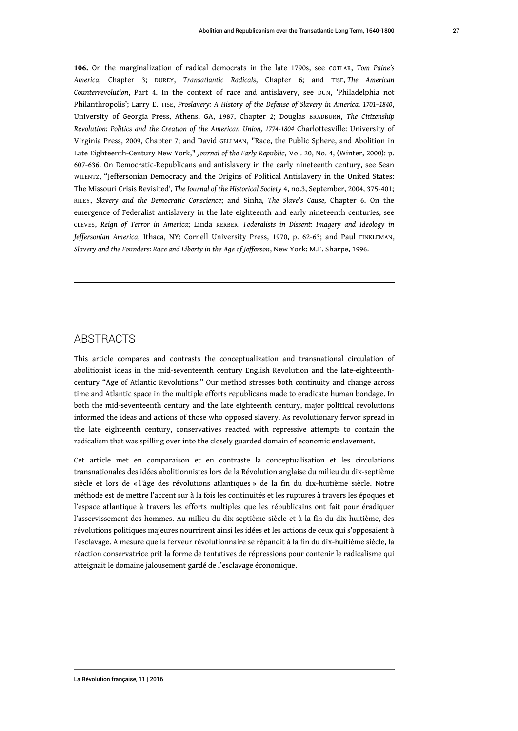<span id="page-27-0"></span>**[106.](#page-17-1)** On the marginalization of radical democrats in the late 1790s, see COTLAR, *Tom Paine's America*, Chapter 3; DUREY, *Transatlantic Radicals*, Chapter 6; and TISE, *The American Counterrevolution*, Part 4. In the context of race and antislavery, see DUN, 'Philadelphia not Philanthropolis'; Larry E. TISE, *Proslavery: A History of the Defense of Slavery in America, 1701–1840*, University of Georgia Press, Athens, GA, 1987, Chapter 2; Douglas BRADBURN, *The Citizenship Revolution: Politics and the Creation of the American Union, 1774-1804* Charlottesville: University of Virginia Press, 2009, Chapter 7; and David GELLMAN, "Race, the Public Sphere, and Abolition in Late Eighteenth-Century New York," *Journal of the Early Republic*, Vol. 20, No. 4, (Winter, 2000): p. 607-636. On Democratic-Republicans and antislavery in the early nineteenth century, see Sean WILENTZ, "Jeffersonian Democracy and the Origins of Political Antislavery in the United States: The Missouri Crisis Revisited', *The Journal of the Historical Society* 4, no.3, September, 2004, 375-401; RILEY, *Slavery and the Democratic Conscience*; and Sinha*, The Slave's Cause,* Chapter 6. On the emergence of Federalist antislavery in the late eighteenth and early nineteenth centuries, see CLEVES, *Reign of Terror in America*; Linda KERBER, *Federalists in Dissent: Imagery and Ideology in Jeffersonian America*, Ithaca, NY: Cornell University Press, 1970, p. 62-63; and Paul FINKLEMAN, *Slavery and the Founders: Race and Liberty in the Age of Jefferson*, New York: M.E. Sharpe, 1996.

#### **ABSTRACTS**

This article compares and contrasts the conceptualization and transnational circulation of abolitionist ideas in the mid-seventeenth century English Revolution and the late-eighteenthcentury "Age of Atlantic Revolutions." Our method stresses both continuity and change across time and Atlantic space in the multiple efforts republicans made to eradicate human bondage. In both the mid-seventeenth century and the late eighteenth century, major political revolutions informed the ideas and actions of those who opposed slavery. As revolutionary fervor spread in the late eighteenth century, conservatives reacted with repressive attempts to contain the radicalism that was spilling over into the closely guarded domain of economic enslavement.

Cet article met en comparaison et en contraste la conceptualisation et les circulations transnationales des idées abolitionnistes lors de la Révolution anglaise du milieu du dix-septième siècle et lors de « l'âge des révolutions atlantiques » de la fin du dix-huitième siècle. Notre méthode est de mettre l'accent sur à la fois les continuités et les ruptures à travers les époques et l'espace atlantique à travers les efforts multiples que les républicains ont fait pour éradiquer l'asservissement des hommes. Au milieu du dix-septième siècle et à la fin du dix-huitième, des révolutions politiques majeures nourrirent ainsi les idées et les actions de ceux qui s'opposaient à l'esclavage. A mesure que la ferveur révolutionnaire se répandit à la fin du dix-huitième siècle, la réaction conservatrice prit la forme de tentatives de répressions pour contenir le radicalisme qui atteignait le domaine jalousement gardé de l'esclavage économique.